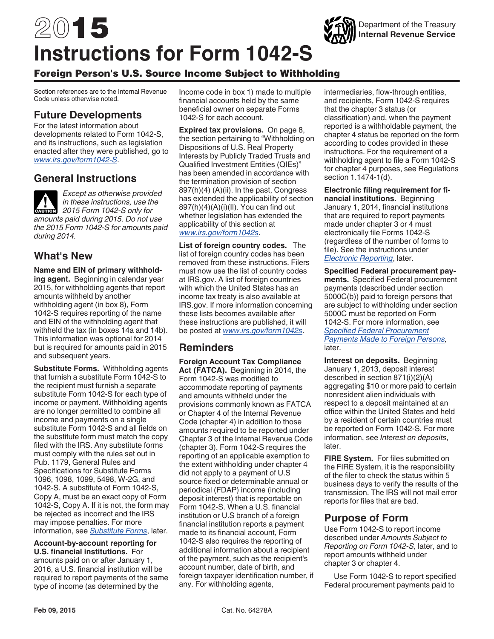# 2015 **Instructions for Form 1042-S**

# Foreign Person's U.S. Source Income Subject to Withholding

Section references are to the Internal Revenue Code unless otherwise noted.

# **Future Developments**

For the latest information about developments related to Form 1042-S, and its instructions, such as legislation enacted after they were published, go to *[www.irs.gov/form1042-S](http://www.irs.gov/form1042S)*.

# **General Instructions**

*Except as otherwise provided in these instructions, use the 2015 Form 1042-S only for amounts paid during 2015. Do not use the 2015 Form 1042-S for amounts paid during 2014.* **CAUTION !**

# **What's New**

**Name and EIN of primary withholding agent.** Beginning in calendar year 2015, for withholding agents that report amounts withheld by another withholding agent (in box 8), Form 1042-S requires reporting of the name and EIN of the withholding agent that withheld the tax (in boxes 14a and 14b). This information was optional for 2014 but is required for amounts paid in 2015 and subsequent years.

**Substitute Forms.** Withholding agents that furnish a substitute Form 1042-S to the recipient must furnish a separate substitute Form 1042-S for each type of income or payment. Withholding agents are no longer permitted to combine all income and payments on a single substitute Form 1042-S and all fields on the substitute form must match the copy filed with the IRS. Any substitute forms must comply with the rules set out in Pub. 1179, General Rules and Specifications for Substitute Forms 1096, 1098, 1099, 5498, W-2G, and 1042-S. A substitute of Form 1042-S, Copy A, must be an exact copy of Form 1042-S, Copy A. If it is not, the form may be rejected as incorrect and the IRS may impose penalties. For more information, see *[Substitute Forms](#page-2-0)*, later.

**Account-by-account reporting for U.S. financial institutions.** For amounts paid on or after January 1, 2016, a U.S. financial institution will be required to report payments of the same type of income (as determined by the

Income code in box 1) made to multiple financial accounts held by the same beneficial owner on separate Forms 1042-S for each account.

**Expired tax provisions.** On page 8, the section pertaining to "Withholding on Dispositions of U.S. Real Property Interests by Publicly Traded Trusts and Qualified Investment Entities (QIEs)" has been amended in accordance with the termination provision of section 897(h)(4) (A)(ii). In the past, Congress has extended the applicability of section 897(h)(4)(A)(i)(II). You can find out whether legislation has extended the applicability of this section at *[www.irs.gov/form1042s](http://www.irs.gov/form1042s)*.

**List of foreign country codes.** The list of foreign country codes has been removed from these instructions. Filers must now use the list of country codes at IRS.gov. A list of foreign countries with which the United States has an income tax treaty is also available at IRS.gov. If more information concerning these lists becomes available after these instructions are published, it will be posted at *[www.irs.gov/form1042s](http://www.irs.gov/form1042s)*.

# **Reminders**

**Foreign Account Tax Compliance Act (FATCA).** Beginning in 2014, the Form 1042-S was modified to accommodate reporting of payments and amounts withheld under the provisions commonly known as FATCA or Chapter 4 of the Internal Revenue Code (chapter 4) in addition to those amounts required to be reported under Chapter 3 of the Internal Revenue Code (chapter 3). Form 1042-S requires the reporting of an applicable exemption to the extent withholding under chapter 4 did not apply to a payment of U.S source fixed or determinable annual or periodical (FDAP) income (including deposit interest) that is reportable on Form 1042-S. When a U.S. financial institution or U.S branch of a foreign financial institution reports a payment made to its financial account, Form 1042-S also requires the reporting of additional information about a recipient of the payment, such as the recipient's account number, date of birth, and foreign taxpayer identification number, if any. For withholding agents,

intermediaries, flow-through entities, and recipients, Form 1042-S requires that the chapter 3 status (or classification) and, when the payment reported is a withholdable payment, the chapter 4 status be reported on the form according to codes provided in these instructions. For the requirement of a withholding agent to file a Form 1042-S for chapter 4 purposes, see Regulations section 1.1474-1(d).

**Electronic filing requirement for financial institutions.** Beginning January 1, 2014, financial institutions that are required to report payments made under chapter 3 or 4 must electronically file Forms 1042-S (regardless of the number of forms to file). See the instructions under *[Electronic Reporting](#page-2-0)*, later.

**Specified Federal procurement payments.** Specified Federal procurement payments (described under section 5000C(b)) paid to foreign persons that are subject to withholding under section 5000C must be reported on Form 1042-S. For more information, see *[Specified Federal Procurement](#page-12-0)  [Payments Made to Foreign Persons,](#page-12-0)*  later.

**Interest on deposits.** Beginning January 1, 2013, deposit interest described in section 871(i)(2)(A) aggregating \$10 or more paid to certain nonresident alien individuals with respect to a deposit maintained at an office within the United States and held by a resident of certain countries must be reported on Form 1042-S. For more information, see *Interest on deposits*, later.

**FIRE System.** For files submitted on the FIRE System, it is the responsibility of the filer to check the status within 5 business days to verify the results of the transmission. The IRS will not mail error reports for files that are bad.

# **Purpose of Form**

Use Form 1042-S to report income described under *Amounts Subject to Reporting on Form 1042-S,* later, and to report amounts withheld under chapter 3 or chapter 4.

Use Form 1042-S to report specified Federal procurement payments paid to

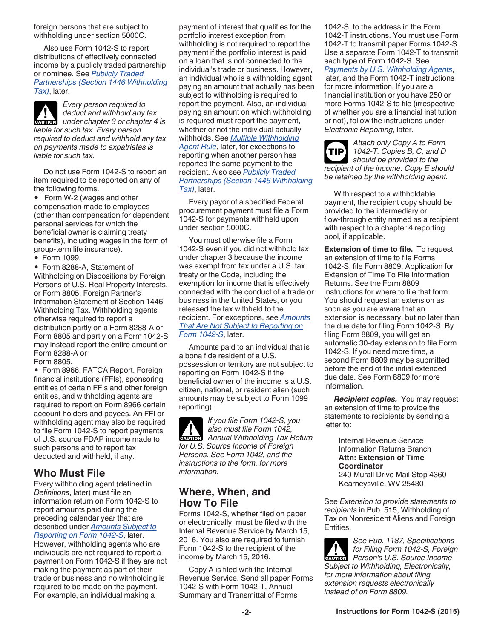<span id="page-1-0"></span>foreign persons that are subject to withholding under section 5000C.

Also use Form 1042-S to report distributions of effectively connected income by a publicly traded partnership or nominee. See *[Publicly Traded](#page-8-0) [Partnerships \(Section 1446 Withholding](#page-8-0)  [Tax\)](#page-8-0)*, later.

*Every person required to deduct and withhold any tax*  **deduct and withhold any tax**<br> **CAUTION** Under chapter 3 or chapter 4 is *liable for such tax. Every person required to deduct and withhold any tax on payments made to expatriates is liable for such tax.*

Do not use Form 1042-S to report an item required to be reported on any of the following forms.

• Form W-2 (wages and other compensation made to employees (other than compensation for dependent personal services for which the beneficial owner is claiming treaty benefits), including wages in the form of group-term life insurance).

Form 1099.

Form 8288-A, Statement of Withholding on Dispositions by Foreign Persons of U.S. Real Property Interests, or Form 8805, Foreign Partner's Information Statement of Section 1446 Withholding Tax. Withholding agents otherwise required to report a distribution partly on a Form 8288-A or Form 8805 and partly on a Form 1042-S may instead report the entire amount on Form 8288-A or Form 8805.

• Form 8966, FATCA Report. Foreign financial institutions (FFIs), sponsoring entities of certain FFIs and other foreign entities, and withholding agents are required to report on Form 8966 certain account holders and payees. An FFI or withholding agent may also be required to file Form 1042-S to report payments of U.S. source FDAP income made to such persons and to report tax deducted and withheld, if any.

# **Who Must File**

Every withholding agent (defined in *Definitions*, later) must file an information return on Form 1042-S to report amounts paid during the preceding calendar year that are described under *[Amounts Subject to](#page-6-0) [Reporting on Form 1042-S](#page-6-0)*, later. However, withholding agents who are individuals are not required to report a payment on Form 1042-S if they are not making the payment as part of their trade or business and no withholding is required to be made on the payment. For example, an individual making a

payment of interest that qualifies for the portfolio interest exception from withholding is not required to report the payment if the portfolio interest is paid on a loan that is not connected to the individual's trade or business. However, an individual who is a withholding agent paying an amount that actually has been subject to withholding is required to report the payment. Also, an individual paying an amount on which withholding is required must report the payment, whether or not the individual actually withholds. See *[Multiple Withholding](#page-15-0)  [Agent Rule](#page-15-0)*, later, for exceptions to reporting when another person has reported the same payment to the recipient. Also see *[Publicly Traded](#page-8-0) [Partnerships \(Section 1446 Withholding](#page-8-0)  [Tax\)](#page-8-0)*, later.

Every payor of a specified Federal procurement payment must file a Form 1042-S for payments withheld upon under section 5000C.

You must otherwise file a Form 1042-S even if you did not withhold tax under chapter 3 because the income was exempt from tax under a U.S. tax treaty or the Code, including the exemption for income that is effectively connected with the conduct of a trade or business in the United States, or you released the tax withheld to the recipient. For exceptions, see *[Amounts](#page-7-0)  [That Are Not Subject to Reporting on](#page-7-0)  [Form 1042-S](#page-7-0)*, later.

Amounts paid to an individual that is a bona fide resident of a U.S. possession or territory are not subject to reporting on Form 1042-S if the beneficial owner of the income is a U.S. citizen, national, or resident alien (such amounts may be subject to Form 1099 reporting).

*If you file Form 1042-S, you also must file Form 1042,*  **Annual Withholding Tax Return 1042,** *for U.S. Source Income of Foreign Persons. See Form 1042, and the instructions to the form, for more information.*

## **Where, When, and How To File**

Forms 1042-S, whether filed on paper or electronically, must be filed with the Internal Revenue Service by March 15, 2016. You also are required to furnish Form 1042-S to the recipient of the income by March 15, 2016.

Copy A is filed with the Internal Revenue Service. Send all paper Forms 1042-S with Form 1042-T, Annual Summary and Transmittal of Forms

1042-S, to the address in the Form 1042-T instructions. You must use Form 1042-T to transmit paper Forms 1042-S. Use a separate Form 1042-T to transmit each type of Form 1042-S. See *[Payments by U.S. Withholding Agents](#page-8-0)*, later, and the Form 1042-T instructions for more information. If you are a financial institution or you have 250 or more Forms 1042-S to file (irrespective of whether you are a financial institution or not), follow the instructions under *Electronic Reporting*, later.



*Attach only Copy A to Form 1042-T. Copies B, C, and D should be provided to the recipient of the income. Copy E should be retained by the withholding agent.*

With respect to a withholdable payment, the recipient copy should be provided to the intermediary or flow-through entity named as a recipient with respect to a chapter 4 reporting pool, if applicable.

**Extension of time to file.** To request an extension of time to file Forms 1042-S, file Form 8809, Application for Extension of Time To File Information Returns. See the Form 8809 instructions for where to file that form. You should request an extension as soon as you are aware that an extension is necessary, but no later than the due date for filing Form 1042-S. By filing Form 8809, you will get an automatic 30-day extension to file Form 1042-S. If you need more time, a second Form 8809 may be submitted before the end of the initial extended due date. See Form 8809 for more information.

*Recipient copies.* You may request an extension of time to provide the statements to recipients by sending a letter to:

> Internal Revenue Service Information Returns Branch **Attn: Extension of Time Coordinator** 240 Murall Drive Mail Stop 4360 Kearneysville, WV 25430

See *Extension to provide statements to recipients* in Pub. 515, Withholding of Tax on Nonresident Aliens and Foreign Entities.

*See Pub. 1187, Specifications for Filing Form 1042-S, Foreign*  **Person's U.S. Source Income Person's U.S. Source Income** *Subject to Withholding, Electronically, for more information about filing extension requests electronically instead of on Form 8809.*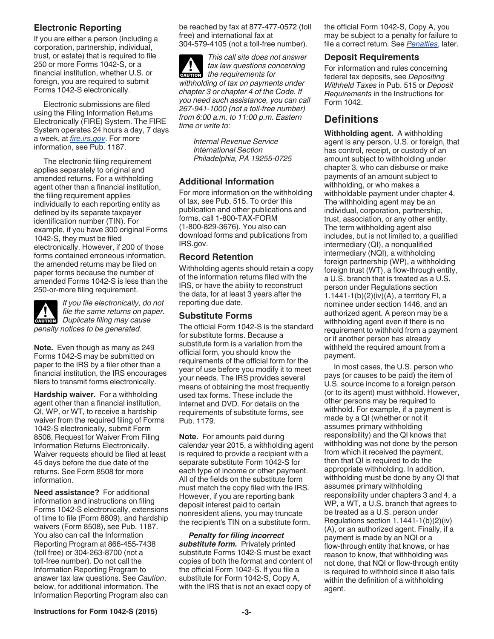## <span id="page-2-0"></span>**Electronic Reporting**

If you are either a person (including a corporation, partnership, individual, trust, or estate) that is required to file 250 or more Forms 1042-S, or a financial institution, whether U.S. or foreign, you are required to submit Forms 1042-S electronically.

Electronic submissions are filed using the Filing Information Returns Electronically (FIRE) System. The FIRE System operates 24 hours a day, 7 days a week, at *[fire.irs.gov](http://fire.irs.gov)*. For more information, see Pub. 1187.

The electronic filing requirement applies separately to original and amended returns. For a withholding agent other than a financial institution, the filing requirement applies individually to each reporting entity as defined by its separate taxpayer identification number (TIN). For example, if you have 300 original Forms 1042-S, they must be filed electronically. However, if 200 of those forms contained erroneous information, the amended returns may be filed on paper forms because the number of amended Forms 1042-S is less than the 250-or-more filing requirement.



*If you file electronically, do not file the same returns on paper.*  **CAUTION**<br> **EXUTION**<br> *Duplicate filing may cause penalty notices to be generated.*

**Note.** Even though as many as 249 Forms 1042-S may be submitted on paper to the IRS by a filer other than a financial institution, the IRS encourages filers to transmit forms electronically.

**Hardship waiver.** For a withholding agent other than a financial institution, QI, WP, or WT, to receive a hardship waiver from the required filing of Forms 1042-S electronically, submit Form 8508, Request for Waiver From Filing Information Returns Electronically. Waiver requests should be filed at least 45 days before the due date of the returns. See Form 8508 for more information.

**Need assistance?** For additional information and instructions on filing Forms 1042-S electronically, extensions of time to file (Form 8809), and hardship waivers (Form 8508), see Pub. 1187. You also can call the Information Reporting Program at 866-455-7438 (toll free) or 304-263-8700 (not a toll-free number). Do not call the Information Reporting Program to answer tax law questions. See *Caution*, below, for additional information. The Information Reporting Program also can be reached by fax at 877-477-0572 (toll free) and international fax at 304-579-4105 (not a toll-free number).

*This call site does not answer tax law questions concerning the requirements for withholding of tax on payments under chapter 3 or chapter 4 of the Code. If you need such assistance, you can call 267-941-1000 (not a toll-free number) from 6:00 a.m. to 11:00 p.m. Eastern time or write to:* **ALUTION** 

> *Internal Revenue Service International Section Philadelphia, PA 19255-0725*

## **Additional Information**

For more information on the withholding of tax, see Pub. 515. To order this publication and other publications and forms, call 1-800-TAX-FORM (1-800-829-3676). You also can download forms and publications from IRS.gov.

#### **Record Retention**

Withholding agents should retain a copy of the information returns filed with the IRS, or have the ability to reconstruct the data, for at least 3 years after the reporting due date.

### **Substitute Forms**

The official Form 1042-S is the standard for substitute forms. Because a substitute form is a variation from the official form, you should know the requirements of the official form for the year of use before you modify it to meet your needs. The IRS provides several means of obtaining the most frequently used tax forms. These include the Internet and DVD. For details on the requirements of substitute forms, see Pub. 1179.

**Note.** For amounts paid during calendar year 2015, a withholding agent is required to provide a recipient with a separate substitute Form 1042-S for each type of income or other payment. All of the fields on the substitute form must match the copy filed with the IRS. However, if you are reporting bank deposit interest paid to certain nonresident aliens, you may truncate the recipient's TIN on a substitute form.

*Penalty for filing incorrect substitute form.* Privately printed substitute Forms 1042-S must be exact copies of both the format and content of the official Form 1042-S. If you file a substitute for Form 1042-S, Copy A, with the IRS that is not an exact copy of

the official Form 1042-S, Copy A, you may be subject to a penalty for failure to file a correct return. See *[Penalties](#page-16-0)*, later.

### **Deposit Requirements**

For information and rules concerning federal tax deposits, see *Depositing Withheld Taxes* in Pub. 515 or *Deposit Requirements* in the Instructions for Form 1042.

# **Definitions**

**Withholding agent.** A withholding agent is any person, U.S. or foreign, that has control, receipt, or custody of an amount subject to withholding under chapter 3, who can disburse or make payments of an amount subject to withholding, or who makes a withholdable payment under chapter 4. The withholding agent may be an individual, corporation, partnership, trust, association, or any other entity. The term withholding agent also includes, but is not limited to, a qualified intermediary (QI), a nonqualified intermediary (NQI), a withholding foreign partnership (WP), a withholding foreign trust (WT), a flow-through entity, a U.S. branch that is treated as a U.S. person under Regulations section 1.1441-1(b)(2)(iv)(A), a territory FI, a nominee under section 1446, and an authorized agent. A person may be a withholding agent even if there is no requirement to withhold from a payment or if another person has already withheld the required amount from a payment.

In most cases, the U.S. person who pays (or causes to be paid) the item of U.S. source income to a foreign person (or to its agent) must withhold. However, other persons may be required to withhold. For example, if a payment is made by a QI (whether or not it assumes primary withholding responsibility) and the QI knows that withholding was not done by the person from which it received the payment, then that QI is required to do the appropriate withholding. In addition, withholding must be done by any QI that assumes primary withholding responsibility under chapters 3 and 4, a WP, a WT, a U.S. branch that agrees to be treated as a U.S. person under Regulations section 1.1441-1(b)(2)(iv) (A), or an authorized agent. Finally, if a payment is made by an NQI or a flow-through entity that knows, or has reason to know, that withholding was not done, that NQI or flow-through entity is required to withhold since it also falls within the definition of a withholding agent.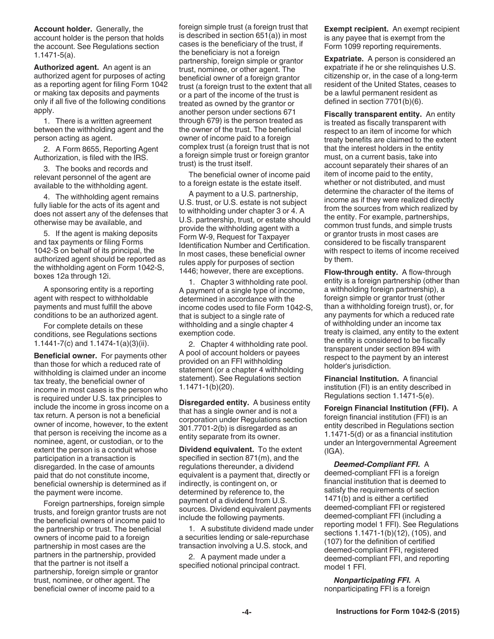**Account holder.** Generally, the account holder is the person that holds the account. See Regulations section 1.1471-5(a).

**Authorized agent.** An agent is an authorized agent for purposes of acting as a reporting agent for filing Form 1042 or making tax deposits and payments only if all five of the following conditions apply.

1. There is a written agreement between the withholding agent and the person acting as agent.

2. A Form 8655, Reporting Agent Authorization, is filed with the IRS.

3. The books and records and relevant personnel of the agent are available to the withholding agent.

4. The withholding agent remains fully liable for the acts of its agent and does not assert any of the defenses that otherwise may be available, and

5. If the agent is making deposits and tax payments or filing Forms 1042-S on behalf of its principal, the authorized agent should be reported as the withholding agent on Form 1042-S, boxes 12a through 12i.

A sponsoring entity is a reporting agent with respect to withholdable payments and must fulfill the above conditions to be an authorized agent.

For complete details on these conditions, see Regulations sections 1.1441-7(c) and 1.1474-1(a)(3)(ii).

**Beneficial owner.** For payments other than those for which a reduced rate of withholding is claimed under an income tax treaty, the beneficial owner of income in most cases is the person who is required under U.S. tax principles to include the income in gross income on a tax return. A person is not a beneficial owner of income, however, to the extent that person is receiving the income as a nominee, agent, or custodian, or to the extent the person is a conduit whose participation in a transaction is disregarded. In the case of amounts paid that do not constitute income, beneficial ownership is determined as if the payment were income.

Foreign partnerships, foreign simple trusts, and foreign grantor trusts are not the beneficial owners of income paid to the partnership or trust. The beneficial owners of income paid to a foreign partnership in most cases are the partners in the partnership, provided that the partner is not itself a partnership, foreign simple or grantor trust, nominee, or other agent. The beneficial owner of income paid to a

foreign simple trust (a foreign trust that is described in section 651(a)) in most cases is the beneficiary of the trust, if the beneficiary is not a foreign partnership, foreign simple or grantor trust, nominee, or other agent. The beneficial owner of a foreign grantor trust (a foreign trust to the extent that all or a part of the income of the trust is treated as owned by the grantor or another person under sections 671 through 679) is the person treated as the owner of the trust. The beneficial owner of income paid to a foreign complex trust (a foreign trust that is not a foreign simple trust or foreign grantor trust) is the trust itself.

The beneficial owner of income paid to a foreign estate is the estate itself.

A payment to a U.S. partnership, U.S. trust, or U.S. estate is not subject to withholding under chapter 3 or 4. A U.S. partnership, trust, or estate should provide the withholding agent with a Form W-9, Request for Taxpayer Identification Number and Certification. In most cases, these beneficial owner rules apply for purposes of section 1446; however, there are exceptions.

1. Chapter 3 withholding rate pool. A payment of a single type of income, determined in accordance with the income codes used to file Form 1042-S, that is subject to a single rate of withholding and a single chapter 4 exemption code.

2. Chapter 4 withholding rate pool. A pool of account holders or payees provided on an FFI withholding statement (or a chapter 4 withholding statement). See Regulations section 1.1471-1(b)(20).

**Disregarded entity.** A business entity that has a single owner and is not a corporation under Regulations section 301.7701-2(b) is disregarded as an entity separate from its owner.

**Dividend equivalent.** To the extent specified in section 871(m), and the regulations thereunder, a dividend equivalent is a payment that, directly or indirectly, is contingent on, or determined by reference to, the payment of a dividend from U.S. sources. Dividend equivalent payments include the following payments.

1. A substitute dividend made under a securities lending or sale-repurchase transaction involving a U.S. stock, and

2. A payment made under a specified notional principal contract. **Exempt recipient.** An exempt recipient is any payee that is exempt from the Form 1099 reporting requirements.

**Expatriate.** A person is considered an expatriate if he or she relinquishes U.S. citizenship or, in the case of a long-term resident of the United States, ceases to be a lawful permanent resident as defined in section 7701(b)(6).

**Fiscally transparent entity.** An entity is treated as fiscally transparent with respect to an item of income for which treaty benefits are claimed to the extent that the interest holders in the entity must, on a current basis, take into account separately their shares of an item of income paid to the entity, whether or not distributed, and must determine the character of the items of income as if they were realized directly from the sources from which realized by the entity. For example, partnerships, common trust funds, and simple trusts or grantor trusts in most cases are considered to be fiscally transparent with respect to items of income received by them.

**Flow-through entity.** A flow-through entity is a foreign partnership (other than a withholding foreign partnership), a foreign simple or grantor trust (other than a withholding foreign trust), or, for any payments for which a reduced rate of withholding under an income tax treaty is claimed, any entity to the extent the entity is considered to be fiscally transparent under section 894 with respect to the payment by an interest holder's jurisdiction.

**Financial Institution.** A financial institution (FI) is an entity described in Regulations section 1.1471-5(e).

**Foreign Financial Institution (FFI).** A foreign financial institution (FFI) is an entity described in Regulations section 1.1471-5(d) or as a financial institution under an Intergovernmental Agreement (IGA).

*Deemed-Compliant FFI.* A deemed-compliant FFI is a foreign financial institution that is deemed to satisfy the requirements of section 1471(b) and is either a certified deemed-compliant FFI or registered deemed-compliant FFI (including a reporting model 1 FFI). See Regulations sections 1.1471-1(b)(12), (105), and (107) for the definition of certified deemed-compliant FFI, registered deemed-compliant FFI, and reporting model 1 FFI.

*Nonparticipating FFI.* A nonparticipating FFI is a foreign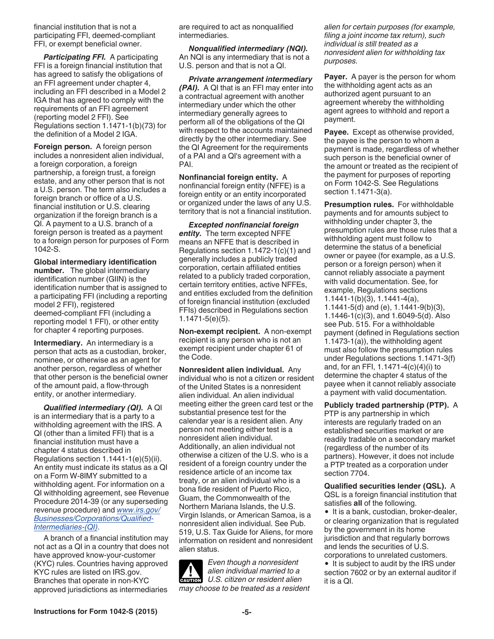<span id="page-4-0"></span>financial institution that is not a participating FFI, deemed-compliant FFI, or exempt beneficial owner.

*Participating FFI.* A participating FFI is a foreign financial institution that has agreed to satisfy the obligations of an FFI agreement under chapter 4, including an FFI described in a Model 2 IGA that has agreed to comply with the requirements of an FFI agreement (reporting model 2 FFI). See Regulations section 1.1471-1(b)(73) for the definition of a Model 2 IGA.

**Foreign person.** A foreign person includes a nonresident alien individual, a foreign corporation, a foreign partnership, a foreign trust, a foreign estate, and any other person that is not a U.S. person. The term also includes a foreign branch or office of a U.S. financial institution or U.S. clearing organization if the foreign branch is a QI. A payment to a U.S. branch of a foreign person is treated as a payment to a foreign person for purposes of Form 1042-S.

**Global intermediary identification number.** The global intermediary identification number (GIIN) is the identification number that is assigned to a participating FFI (including a reporting model 2 FFI), registered deemed-compliant FFI (including a reporting model 1 FFI), or other entity for chapter 4 reporting purposes.

**Intermediary.** An intermediary is a person that acts as a custodian, broker, nominee, or otherwise as an agent for another person, regardless of whether that other person is the beneficial owner of the amount paid, a flow-through entity, or another intermediary.

*Qualified intermediary (QI).* A QI is an intermediary that is a party to a withholding agreement with the IRS. A QI (other than a limited FFI) that is a financial institution must have a chapter 4 status described in Regulations section 1.1441-1(e)(5)(ii). An entity must indicate its status as a QI on a Form W-8IMY submitted to a withholding agent. For information on a QI withholding agreement, see Revenue Procedure 2014-39 (or any superseding revenue procedure) and *[www.irs.gov/](http://www.irs.gov/Businesses/Corporations/Qualified-Intermediaries-(QI)) [Businesses/Corporations/Qualified-](http://www.irs.gov/Businesses/Corporations/Qualified-Intermediaries-(QI))[Intermediaries-\(QI\)](http://www.irs.gov/Businesses/Corporations/Qualified-Intermediaries-(QI))*.

A branch of a financial institution may not act as a QI in a country that does not have approved know-your-customer (KYC) rules. Countries having approved KYC rules are listed on IRS.gov. Branches that operate in non-KYC approved jurisdictions as intermediaries

are required to act as nonqualified intermediaries.

*Nonqualified intermediary (NQI).*  An NQI is any intermediary that is not a U.S. person and that is not a QI.

*Private arrangement intermediary (PAI).* A QI that is an FFI may enter into a contractual agreement with another intermediary under which the other intermediary generally agrees to perform all of the obligations of the QI with respect to the accounts maintained directly by the other intermediary. See the QI Agreement for the requirements of a PAI and a QI's agreement with a PAI.

**Nonfinancial foreign entity.** A nonfinancial foreign entity (NFFE) is a foreign entity or an entity incorporated or organized under the laws of any U.S. territory that is not a financial institution.

*Excepted nonfinancial foreign entity.* The term excepted NFFE means an NFFE that is described in Regulations section 1.1472-1(c)(1) and generally includes a publicly traded corporation, certain affiliated entities related to a publicly traded corporation, certain territory entities, active NFFEs, and entities excluded from the definition of foreign financial institution (excluded FFIs) described in Regulations section 1.1471-5(e)(5).

**Non-exempt recipient.** A non-exempt recipient is any person who is not an exempt recipient under chapter 61 of the Code.

**Nonresident alien individual.** Any individual who is not a citizen or resident of the United States is a nonresident alien individual. An alien individual meeting either the green card test or the substantial presence test for the calendar year is a resident alien. Any person not meeting either test is a nonresident alien individual. Additionally, an alien individual not otherwise a citizen of the U.S. who is a resident of a foreign country under the residence article of an income tax treaty, or an alien individual who is a bona fide resident of Puerto Rico, Guam, the Commonwealth of the Northern Mariana Islands, the U.S. Virgin Islands, or American Samoa, is a nonresident alien individual. See Pub. 519, U.S. Tax Guide for Aliens, for more information on resident and nonresident alien status.

*Even though a nonresident alien individual married to a U.S. citizen or resident alien may choose to be treated as a resident* 

*alien for certain purposes (for example, filing a joint income tax return), such individual is still treated as a nonresident alien for withholding tax purposes.*

**Payer.** A payer is the person for whom the withholding agent acts as an authorized agent pursuant to an agreement whereby the withholding agent agrees to withhold and report a payment.

**Payee.** Except as otherwise provided, the payee is the person to whom a payment is made, regardless of whether such person is the beneficial owner of the amount or treated as the recipient of the payment for purposes of reporting on Form 1042-S. See Regulations section 1.1471-3(a).

**Presumption rules.** For withholdable payments and for amounts subject to withholding under chapter 3, the presumption rules are those rules that a withholding agent must follow to determine the status of a beneficial owner or payee (for example, as a U.S. person or a foreign person) when it cannot reliably associate a payment with valid documentation. See, for example, Regulations sections 1.1441-1(b)(3), 1.1441-4(a), 1.1441-5(d) and (e), 1.1441-9(b)(3), 1.1446-1(c)(3), and 1.6049-5(d). Also see Pub. 515. For a withholdable payment (defined in Regulations section 1.1473-1(a)), the withholding agent must also follow the presumption rules under Regulations sections 1.1471-3(f) and, for an FFI, 1.1471-4(c)(4)(i) to determine the chapter 4 status of the payee when it cannot reliably associate a payment with valid documentation.

#### **Publicly traded partnership (PTP).** A

PTP is any partnership in which interests are regularly traded on an established securities market or are readily tradable on a secondary market (regardless of the number of its partners). However, it does not include a PTP treated as a corporation under section 7704.

**Qualified securities lender (QSL).** A QSL is a foreign financial institution that satisfies **all** of the following.

• It is a bank, custodian, broker-dealer, or clearing organization that is regulated by the government in its home jurisdiction and that regularly borrows and lends the securities of U.S. corporations to unrelated customers.

• It is subject to audit by the IRS under section 7602 or by an external auditor if it is a QI.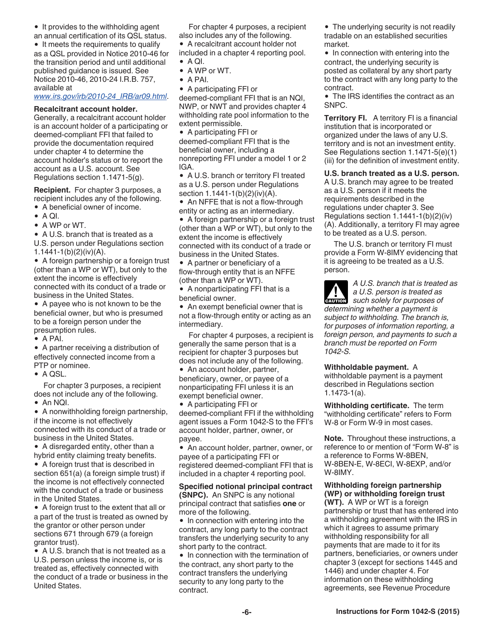<span id="page-5-0"></span>• It provides to the withholding agent

an annual certification of its QSL status. • It meets the requirements to qualify as a QSL provided in Notice 2010-46 for the transition period and until additional published guidance is issued. See Notice 2010-46, 2010-24 I.R.B. 757, available at

#### *[www.irs.gov/irb/2010-24\\_IRB/ar09.html](http://www.irs.gov/irb/2010-24_IRB/ar09.html)*.

#### **Recalcitrant account holder.**

Generally, a recalcitrant account holder is an account holder of a participating or deemed-compliant FFI that failed to provide the documentation required under chapter 4 to determine the account holder's status or to report the account as a U.S. account. See Regulations section 1.1471-5(g).

**Recipient.** For chapter 3 purposes, a recipient includes any of the following.

- A beneficial owner of income.
- $\bullet$  A QI.
- A WP or WT.

A U.S. branch that is treated as a

U.S. person under Regulations section 1.1441-1(b)(2)(iv)(A).

A foreign partnership or a foreign trust (other than a WP or WT), but only to the extent the income is effectively connected with its conduct of a trade or business in the United States.

• A payee who is not known to be the beneficial owner, but who is presumed to be a foreign person under the presumption rules.

 $\bullet$  A PAI.

A partner receiving a distribution of effectively connected income from a PTP or nominee.

• A QSL.

For chapter 3 purposes, a recipient does not include any of the following.

An NQI.

A nonwithholding foreign partnership, if the income is not effectively connected with its conduct of a trade or business in the United States.

• A disregarded entity, other than a hybrid entity claiming treaty benefits.

A foreign trust that is described in section 651(a) (a foreign simple trust) if the income is not effectively connected with the conduct of a trade or business in the United States.

A foreign trust to the extent that all or a part of the trust is treated as owned by the grantor or other person under sections 671 through 679 (a foreign grantor trust).

A U.S. branch that is not treated as a U.S. person unless the income is, or is treated as, effectively connected with the conduct of a trade or business in the United States.

For chapter 4 purposes, a recipient also includes any of the following.

A recalcitrant account holder not

included in a chapter 4 reporting pool.  $\bullet$  A QI.

- A WP or WT.
- $\bullet$  A PAI.

A participating FFI or

deemed-compliant FFI that is an NQI, NWP, or NWT and provides chapter 4 withholding rate pool information to the extent permissible.

A participating FFI or deemed-compliant FFI that is the beneficial owner, including a nonreporting FFI under a model 1 or 2 IGA.

• A U.S. branch or territory FI treated as a U.S. person under Regulations section 1.1441-1(b)(2)(iv)(A).

• An NFFE that is not a flow-through

entity or acting as an intermediary.

A foreign partnership or a foreign trust (other than a WP or WT), but only to the extent the income is effectively connected with its conduct of a trade or business in the United States.

• A partner or beneficiary of a flow-through entity that is an NFFE (other than a WP or WT).

• A nonparticipating FFI that is a beneficial owner.

An exempt beneficial owner that is not a flow-through entity or acting as an intermediary.

For chapter 4 purposes, a recipient is generally the same person that is a recipient for chapter 3 purposes but does not include any of the following.

• An account holder, partner, beneficiary, owner, or payee of a nonparticipating FFI unless it is an exempt beneficial owner.

A participating FFI or deemed-compliant FFI if the withholding agent issues a Form 1042-S to the FFI's account holder, partner, owner, or payee.

An account holder, partner, owner, or payee of a participating FFI or registered deemed-compliant FFI that is included in a chapter 4 reporting pool.

#### **Specified notional principal contract (SNPC).** An SNPC is any notional principal contract that satisfies **one** or

more of the following. • In connection with entering into the contract, any long party to the contract transfers the underlying security to any short party to the contract.

• In connection with the termination of the contract, any short party to the contract transfers the underlying security to any long party to the contract.

• The underlying security is not readily tradable on an established securities market.

• In connection with entering into the contract, the underlying security is posted as collateral by any short party to the contract with any long party to the contract.

The IRS identifies the contract as an SNPC.

**Territory FI.** A territory FI is a financial institution that is incorporated or organized under the laws of any U.S. territory and is not an investment entity. See Regulations section 1.1471-5(e)(1) (iii) for the definition of investment entity.

**U.S. branch treated as a U.S. person.** 

A U.S. branch may agree to be treated as a U.S. person if it meets the requirements described in the regulations under chapter 3. See Regulations section 1.1441-1(b)(2)(iv) (A). Additionally, a territory FI may agree to be treated as a U.S. person.

The U.S. branch or territory FI must provide a Form W-8IMY evidencing that it is agreeing to be treated as a U.S. person.

*A U.S. branch that is treated as a U.S. person is treated as such solely for purposes of determining whether a payment is subject to withholding. The branch is, for purposes of information reporting, a foreign person, and payments to such a branch must be reported on Form 1042-S.* **ALUTION** 

#### **Withholdable payment.** A

withholdable payment is a payment described in Regulations section 1.1473-1(a).

**Withholding certificate.** The term "withholding certificate" refers to Form W-8 or Form W-9 in most cases.

**Note.** Throughout these instructions, a reference to or mention of "Form W-8" is a reference to Forms W-8BEN, W-8BEN-E, W-8ECI, W-8EXP, and/or W-8IMY.

#### **Withholding foreign partnership (WP) or withholding foreign trust**

**(WT).** A WP or WT is a foreign partnership or trust that has entered into a withholding agreement with the IRS in which it agrees to assume primary withholding responsibility for all payments that are made to it for its partners, beneficiaries, or owners under chapter 3 (except for sections 1445 and 1446) and under chapter 4. For information on these withholding agreements, see Revenue Procedure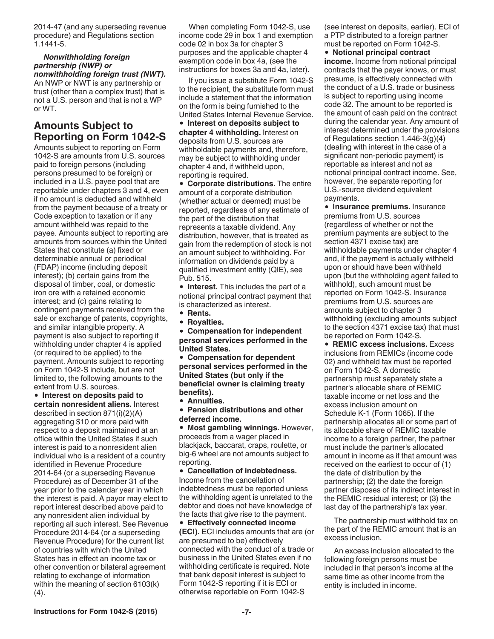<span id="page-6-0"></span>2014-47 (and any superseding revenue procedure) and Regulations section 1.1441-5.

### *Nonwithholding foreign partnership (NWP) or*

*nonwithholding foreign trust (NWT).*  An NWP or NWT is any partnership or trust (other than a complex trust) that is not a U.S. person and that is not a WP or WT.

# **Amounts Subject to Reporting on Form 1042-S**

Amounts subject to reporting on Form 1042-S are amounts from U.S. sources paid to foreign persons (including persons presumed to be foreign) or included in a U.S. payee pool that are reportable under chapters 3 and 4, even if no amount is deducted and withheld from the payment because of a treaty or Code exception to taxation or if any amount withheld was repaid to the payee. Amounts subject to reporting are amounts from sources within the United States that constitute (a) fixed or determinable annual or periodical (FDAP) income (including deposit interest); (b) certain gains from the disposal of timber, coal, or domestic iron ore with a retained economic interest; and (c) gains relating to contingent payments received from the sale or exchange of patents, copyrights, and similar intangible property. A payment is also subject to reporting if withholding under chapter 4 is applied (or required to be applied) to the payment. Amounts subject to reporting on Form 1042-S include, but are not limited to, the following amounts to the extent from U.S. sources.

**Interest on deposits paid to certain nonresident aliens.** Interest described in section 871(i)(2)(A) aggregating \$10 or more paid with respect to a deposit maintained at an office within the United States if such interest is paid to a nonresident alien individual who is a resident of a country identified in Revenue Procedure 2014-64 (or a superseding Revenue Procedure) as of December 31 of the year prior to the calendar year in which the interest is paid. A payor may elect to report interest described above paid to any nonresident alien individual by reporting all such interest. See Revenue Procedure 2014-64 (or a superseding Revenue Procedure) for the current list of countries with which the United States has in effect an income tax or other convention or bilateral agreement relating to exchange of information within the meaning of section 6103(k) (4).

When completing Form 1042-S, use income code 29 in box 1 and exemption code 02 in box 3a for chapter 3 purposes and the applicable chapter 4 exemption code in box 4a, (see the instructions for boxes 3a and 4a, later).

If you issue a substitute Form 1042-S to the recipient, the substitute form must include a statement that the information on the form is being furnished to the United States Internal Revenue Service.

**Interest on deposits subject to chapter 4 withholding.** Interest on deposits from U.S. sources are withholdable payments and, therefore, may be subject to withholding under chapter 4 and, if withheld upon, reporting is required.

**Corporate distributions.** The entire amount of a corporate distribution (whether actual or deemed) must be reported, regardless of any estimate of the part of the distribution that represents a taxable dividend. Any distribution, however, that is treated as gain from the redemption of stock is not an amount subject to withholding. For information on dividends paid by a qualified investment entity (QIE), see Pub. 515.

**Interest.** This includes the part of a notional principal contract payment that is characterized as interest.

- **Rents.**
- **Royalties.**

**Compensation for independent personal services performed in the United States.**

**Compensation for dependent personal services performed in the United States (but only if the beneficial owner is claiming treaty benefits).**

**Annuities.**

**Pension distributions and other deferred income.**

**Most gambling winnings.** However, proceeds from a wager placed in blackjack, baccarat, craps, roulette, or big-6 wheel are not amounts subject to reporting.

**Cancellation of indebtedness.**  Income from the cancellation of indebtedness must be reported unless the withholding agent is unrelated to the debtor and does not have knowledge of the facts that give rise to the payment.

**Effectively connected income (ECI).** ECI includes amounts that are (or are presumed to be) effectively connected with the conduct of a trade or business in the United States even if no withholding certificate is required. Note that bank deposit interest is subject to Form 1042-S reporting if it is ECI or otherwise reportable on Form 1042-S

(see interest on deposits, earlier). ECI of a PTP distributed to a foreign partner must be reported on Form 1042-S.

**Notional principal contract income.** Income from notional principal contracts that the payer knows, or must presume, is effectively connected with the conduct of a U.S. trade or business is subject to reporting using income code 32. The amount to be reported is the amount of cash paid on the contract during the calendar year. Any amount of interest determined under the provisions of Regulations section 1.446-3(g)(4) (dealing with interest in the case of a significant non-periodic payment) is reportable as interest and not as notional principal contract income. See, however, the separate reporting for U.S.-source dividend equivalent payments.

**• Insurance premiums.** Insurance premiums from U.S. sources (regardless of whether or not the premium payments are subject to the section 4371 excise tax) are withholdable payments under chapter 4 and, if the payment is actually withheld upon or should have been withheld upon (but the withholding agent failed to withhold), such amount must be reported on Form 1042-S. Insurance premiums from U.S. sources are amounts subject to chapter 3 withholding (excluding amounts subject to the section 4371 excise tax) that must be reported on Form 1042-S.

**REMIC excess inclusions.** Excess inclusions from REMICs (income code 02) and withheld tax must be reported on Form 1042-S. A domestic partnership must separately state a partner's allocable share of REMIC taxable income or net loss and the excess inclusion amount on Schedule K-1 (Form 1065). If the partnership allocates all or some part of its allocable share of REMIC taxable income to a foreign partner, the partner must include the partner's allocated amount in income as if that amount was received on the earliest to occur of (1) the date of distribution by the partnership; (2) the date the foreign partner disposes of its indirect interest in the REMIC residual interest; or (3) the last day of the partnership's tax year.

The partnership must withhold tax on the part of the REMIC amount that is an excess inclusion.

An excess inclusion allocated to the following foreign persons must be included in that person's income at the same time as other income from the entity is included in income.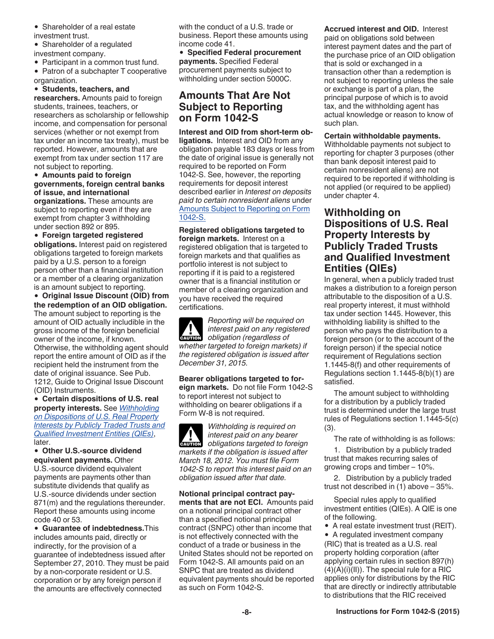- <span id="page-7-0"></span>• Shareholder of a real estate investment trust.
- Shareholder of a regulated
- investment company.
- Participant in a common trust fund.
- Patron of a subchapter T cooperative organization.

#### **Students, teachers, and**

**researchers.** Amounts paid to foreign students, trainees, teachers, or researchers as scholarship or fellowship income, and compensation for personal services (whether or not exempt from tax under an income tax treaty), must be reported. However, amounts that are exempt from tax under section 117 are not subject to reporting.

**Amounts paid to foreign governments, foreign central banks of issue, and international** 

**organizations.** These amounts are subject to reporting even if they are exempt from chapter 3 withholding under section 892 or 895.

**Foreign targeted registered obligations.** Interest paid on registered obligations targeted to foreign markets paid by a U.S. person to a foreign person other than a financial institution or a member of a clearing organization is an amount subject to reporting.

**Original Issue Discount (OID) from the redemption of an OID obligation.**  The amount subject to reporting is the amount of OID actually includible in the gross income of the foreign beneficial owner of the income, if known. Otherwise, the withholding agent should report the entire amount of OID as if the recipient held the instrument from the date of original issuance. See Pub. 1212, Guide to Original Issue Discount (OID) Instruments.

**Certain dispositions of U.S. real property interests.** See *Withholding on Dispositions of U.S. Real Property Interests by Publicly Traded Trusts and Qualified Investment Entities (QIEs)*, later.

**Other U.S.-source dividend equivalent payments.** Other U.S.-source dividend equivalent

payments are payments other than substitute dividends that qualify as U.S.-source dividends under section 871(m) and the regulations thereunder. Report these amounts using income code 40 or 53.

**Guarantee of indebtedness.**This includes amounts paid, directly or indirectly, for the provision of a guarantee of indebtedness issued after September 27, 2010. They must be paid by a non-corporate resident or U.S. corporation or by any foreign person if the amounts are effectively connected

with the conduct of a U.S. trade or business. Report these amounts using income code 41.

**Specified Federal procurement payments.** Specified Federal procurement payments subject to withholding under section 5000C.

# **Amounts That Are Not Subject to Reporting on Form 1042-S**

**Interest and OID from short-term obligations.** Interest and OID from any obligation payable 183 days or less from the date of original issue is generally not required to be reported on Form 1042-S. See, however, the reporting requirements for deposit interest described earlier in *Interest on deposits paid to certain nonresident aliens* under [Amounts Subject to Reporting on Form](#page-6-0) [1042-S.](#page-6-0)

**Registered obligations targeted to foreign markets.** Interest on a registered obligation that is targeted to foreign markets and that qualifies as portfolio interest is not subject to reporting if it is paid to a registered owner that is a financial institution or member of a clearing organization and you have received the required certifications.

*Reporting will be required on interest paid on any registered*  **caution** *interest paid on any regis*<br> *obligation* (regardless of *whether targeted to foreign markets) if the registered obligation is issued after December 31, 2015.*

**Bearer obligations targeted to foreign markets.** Do not file Form 1042-S to report interest not subject to withholding on bearer obligations if a Form W-8 is not required.

*Withholding is required on interest paid on any bearer*  **c** *obligations targeted to foreign markets if the obligation is issued after March 18, 2012. You must file Form 1042-S to report this interest paid on an obligation issued after that date.*

**Notional principal contract payments that are not ECI.** Amounts paid on a notional principal contract other than a specified notional principal contract (SNPC) other than income that is not effectively connected with the conduct of a trade or business in the United States should not be reported on Form 1042-S. All amounts paid on an SNPC that are treated as dividend equivalent payments should be reported as such on Form 1042-S.

**Accrued interest and OID.** Interest paid on obligations sold between interest payment dates and the part of the purchase price of an OID obligation that is sold or exchanged in a transaction other than a redemption is not subject to reporting unless the sale or exchange is part of a plan, the principal purpose of which is to avoid tax, and the withholding agent has actual knowledge or reason to know of such plan.

**Certain withholdable payments.** 

Withholdable payments not subject to reporting for chapter 3 purposes (other than bank deposit interest paid to certain nonresident aliens) are not required to be reported if withholding is not applied (or required to be applied) under chapter 4.

# **Withholding on Dispositions of U.S. Real Property Interests by Publicly Traded Trusts and Qualified Investment Entities (QIEs)**

In general, when a publicly traded trust makes a distribution to a foreign person attributable to the disposition of a U.S. real property interest, it must withhold tax under section 1445. However, this withholding liability is shifted to the person who pays the distribution to a foreign person (or to the account of the foreign person) if the special notice requirement of Regulations section 1.1445-8(f) and other requirements of Regulations section 1.1445-8(b)(1) are satisfied.

The amount subject to withholding for a distribution by a publicly traded trust is determined under the large trust rules of Regulations section 1.1445-5(c) (3).

The rate of withholding is as follows:

1. Distribution by a publicly traded trust that makes recurring sales of growing crops and timber – 10%.

2. Distribution by a publicly traded trust not described in (1) above – 35%.

Special rules apply to qualified investment entities (QIEs). A QIE is one of the following.

• A real estate investment trust (REIT).

• A regulated investment company (RIC) that is treated as a U.S. real property holding corporation (after applying certain rules in section 897(h)  $(4)(A)(i)(II)$ . The special rule for a RIC applies only for distributions by the RIC that are directly or indirectly attributable to distributions that the RIC received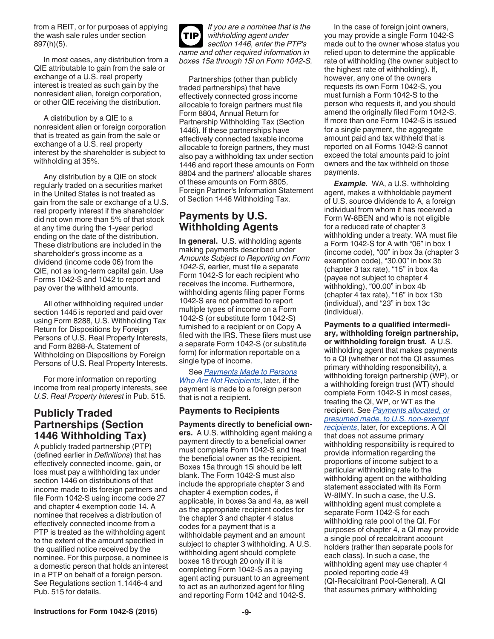<span id="page-8-0"></span>from a REIT, or for purposes of applying the wash sale rules under section 897(h)(5).

In most cases, any distribution from a QIE attributable to gain from the sale or exchange of a U.S. real property interest is treated as such gain by the nonresident alien, foreign corporation, or other QIE receiving the distribution.

A distribution by a QIE to a nonresident alien or foreign corporation that is treated as gain from the sale or exchange of a U.S. real property interest by the shareholder is subject to withholding at 35%.

Any distribution by a QIE on stock regularly traded on a securities market in the United States is not treated as gain from the sale or exchange of a U.S. real property interest if the shareholder did not own more than 5% of that stock at any time during the 1-year period ending on the date of the distribution. These distributions are included in the shareholder's gross income as a dividend (income code 06) from the QIE, not as long-term capital gain. Use Forms 1042-S and 1042 to report and pay over the withheld amounts.

All other withholding required under section 1445 is reported and paid over using Form 8288, U.S. Withholding Tax Return for Dispositions by Foreign Persons of U.S. Real Property Interests, and Form 8288-A, Statement of Withholding on Dispositions by Foreign Persons of U.S. Real Property Interests.

For more information on reporting income from real property interests, see *U.S. Real Property Interest* in Pub. 515.

# **Publicly Traded Partnerships (Section 1446 Withholding Tax)**

A publicly traded partnership (PTP) (defined earlier in *Definitions*) that has effectively connected income, gain, or loss must pay a withholding tax under section 1446 on distributions of that income made to its foreign partners and file Form 1042-S using income code 27 and chapter 4 exemption code 14. A nominee that receives a distribution of effectively connected income from a PTP is treated as the withholding agent to the extent of the amount specified in the qualified notice received by the nominee. For this purpose, a nominee is a domestic person that holds an interest in a PTP on behalf of a foreign person. See Regulations section 1.1446-4 and Pub. 515 for details.



Partnerships (other than publicly traded partnerships) that have effectively connected gross income allocable to foreign partners must file Form 8804, Annual Return for Partnership Withholding Tax (Section 1446). If these partnerships have effectively connected taxable income allocable to foreign partners, they must also pay a withholding tax under section 1446 and report these amounts on Form 8804 and the partners' allocable shares of these amounts on Form 8805, Foreign Partner's Information Statement of Section 1446 Withholding Tax.

# **Payments by U.S. Withholding Agents**

**In general.** U.S. withholding agents making payments described under *Amounts Subject to Reporting on Form 1042-S,* earlier, must file a separate Form 1042-S for each recipient who receives the income. Furthermore, withholding agents filing paper Forms 1042-S are not permitted to report multiple types of income on a Form 1042-S (or substitute form 1042-S) furnished to a recipient or on Copy A filed with the IRS. These filers must use a separate Form 1042-S (or substitute form) for information reportable on a single type of income.

See *[Payments Made to Persons](#page-10-0) [Who Are Not Recipients](#page-10-0)*, later, if the payment is made to a foreign person that is not a recipient.

#### **Payments to Recipients**

**Payments directly to beneficial owners.** A U.S. withholding agent making a payment directly to a beneficial owner must complete Form 1042-S and treat the beneficial owner as the recipient. Boxes 15a through 15i should be left blank. The Form 1042-S must also include the appropriate chapter 3 and chapter 4 exemption codes, if applicable, in boxes 3a and 4a, as well as the appropriate recipient codes for the chapter 3 and chapter 4 status codes for a payment that is a withholdable payment and an amount subject to chapter 3 withholding. A U.S. withholding agent should complete boxes 18 through 20 only if it is completing Form 1042-S as a paying agent acting pursuant to an agreement to act as an authorized agent for filing and reporting Form 1042 and 1042-S.

In the case of foreign joint owners, you may provide a single Form 1042-S made out to the owner whose status you relied upon to determine the applicable rate of withholding (the owner subject to the highest rate of withholding). If, however, any one of the owners requests its own Form 1042-S, you must furnish a Form 1042-S to the person who requests it, and you should amend the originally filed Form 1042-S. If more than one Form 1042-S is issued for a single payment, the aggregate amount paid and tax withheld that is reported on all Forms 1042-S cannot exceed the total amounts paid to joint owners and the tax withheld on those payments.

*Example.* WA, a U.S. withholding agent, makes a withholdable payment of U.S. source dividends to A, a foreign individual from whom it has received a Form W-8BEN and who is not eligible for a reduced rate of chapter 3 withholding under a treaty. WA must file a Form 1042-S for A with "06" in box 1 (income code), "00" in box 3a (chapter 3 exemption code), "30.00" in box 3b (chapter 3 tax rate), "15" in box 4a (payee not subject to chapter 4 withholding), "00.00" in box 4b (chapter 4 tax rate), "16" in box 13b (individual), and "23" in box 13c (individual).

**Payments to a qualified intermediary, withholding foreign partnership, or withholding foreign trust.** A U.S. withholding agent that makes payments to a QI (whether or not the QI assumes primary withholding responsibility), a withholding foreign partnership (WP), or a withholding foreign trust (WT) should complete Form 1042-S in most cases, treating the QI, WP, or WT as the recipient. See *[Payments allocated, or](#page-9-0)  [presumed made, to U.S. non-exempt](#page-9-0) [recipients](#page-9-0)*, later, for exceptions. A QI that does not assume primary withholding responsibility is required to provide information regarding the proportions of income subject to a particular withholding rate to the withholding agent on the withholding statement associated with its Form W-8IMY. In such a case, the U.S. withholding agent must complete a separate Form 1042-S for each withholding rate pool of the QI. For purposes of chapter 4, a QI may provide a single pool of recalcitrant account holders (rather than separate pools for each class). In such a case, the withholding agent may use chapter 4 pooled reporting code 49 (QI-Recalcitrant Pool-General). A QI that assumes primary withholding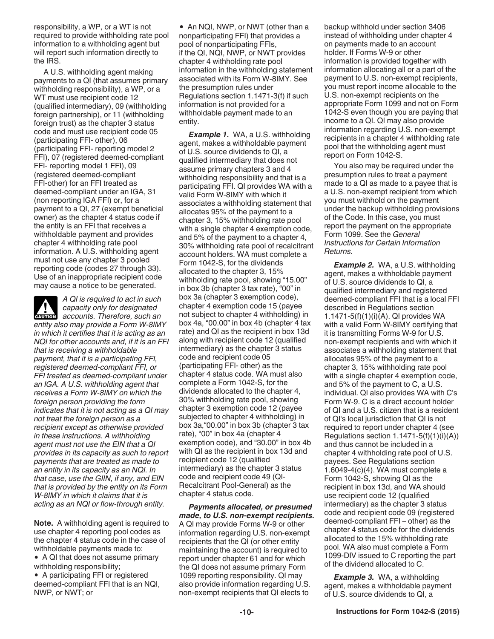<span id="page-9-0"></span>responsibility, a WP, or a WT is not required to provide withholding rate pool information to a withholding agent but will report such information directly to the IRS.

A U.S. withholding agent making payments to a QI (that assumes primary withholding responsibility), a WP, or a WT must use recipient code 12 (qualified intermediary), 09 (withholding foreign partnership), or 11 (withholding foreign trust) as the chapter 3 status code and must use recipient code 05 (participating FFI- other), 06 (participating FFI- reporting model 2 FFI), 07 (registered deemed-compliant FFI- reporting model 1 FFI), 09 (registered deemed-compliant FFI-other) for an FFI treated as deemed-compliant under an IGA, 31 (non reporting IGA FFI) or, for a payment to a QI, 27 (exempt beneficial owner) as the chapter 4 status code if the entity is an FFI that receives a withholdable payment and provides chapter 4 withholding rate pool information. A U.S. withholding agent must not use any chapter 3 pooled reporting code (codes 27 through 33). Use of an inappropriate recipient code may cause a notice to be generated.

*A QI is required to act in such capacity only for designated*  **a** capacity only for designated<br> **ENUTION** accounts. Therefore, such an *entity also may provide a Form W-8IMY in which it certifies that it is acting as an NQI for other accounts and, if it is an FFI that is receiving a withholdable payment, that it is a participating FFI, registered deemed-compliant FFI, or FFI treated as deemed-compliant under an IGA. A U.S. withholding agent that receives a Form W-8IMY on which the foreign person providing the form indicates that it is not acting as a QI may not treat the foreign person as a recipient except as otherwise provided in these instructions. A withholding agent must not use the EIN that a QI provides in its capacity as such to report payments that are treated as made to an entity in its capacity as an NQI. In that case, use the GIIN, if any, and EIN that is provided by the entity on its Form W-8IMY in which it claims that it is acting as an NQI or flow-through entity.*

**Note.** A withholding agent is required to use chapter 4 reporting pool codes as the chapter 4 status code in the case of withholdable payments made to:

• A QI that does not assume primary withholding responsibility;

A participating FFI or registered deemed-compliant FFI that is an NQI, NWP, or NWT; or

• An NQI, NWP, or NWT (other than a nonparticipating FFI) that provides a pool of nonparticipating FFIs, if the QI, NQI, NWP, or NWT provides chapter 4 withholding rate pool information in the withholding statement associated with its Form W-8IMY. See the presumption rules under Regulations section 1.1471-3(f) if such information is not provided for a withholdable payment made to an entity.

**Example 1.** WA, a U.S. withholding agent, makes a withholdable payment of U.S. source dividends to QI, a qualified intermediary that does not assume primary chapters 3 and 4 withholding responsibility and that is a participating FFI. QI provides WA with a valid Form W-8IMY with which it associates a withholding statement that allocates 95% of the payment to a chapter 3, 15% withholding rate pool with a single chapter 4 exemption code, and 5% of the payment to a chapter 4, 30% withholding rate pool of recalcitrant account holders. WA must complete a Form 1042-S, for the dividends allocated to the chapter 3, 15% withholding rate pool, showing "15.00" in box 3b (chapter 3 tax rate), "00" in box 3a (chapter 3 exemption code), chapter 4 exemption code 15 (payee not subject to chapter 4 withholding) in box 4a, "00.00" in box 4b (chapter 4 tax rate) and QI as the recipient in box 13d along with recipient code 12 (qualified intermediary) as the chapter 3 status code and recipient code 05 (participating FFI- other) as the chapter 4 status code. WA must also complete a Form 1042-S, for the dividends allocated to the chapter 4, 30% withholding rate pool, showing chapter 3 exemption code 12 (payee subjected to chapter 4 withholding) in box 3a,"00.00" in box 3b (chapter 3 tax rate), "00" in box 4a (chapter 4 exemption code), and "30.00" in box 4b with QI as the recipient in box 13d and recipient code 12 (qualified intermediary) as the chapter 3 status code and recipient code 49 (QI‐ Recalcitrant Pool‐General) as the chapter 4 status code.

*Payments allocated, or presumed made, to U.S. non-exempt recipients.*  A QI may provide Forms W-9 or other information regarding U.S. non-exempt recipients that the QI (or other entity maintaining the account) is required to report under chapter 61 and for which the QI does not assume primary Form 1099 reporting responsibility. QI may also provide information regarding U.S. non-exempt recipients that QI elects to

backup withhold under section 3406 instead of withholding under chapter 4 on payments made to an account holder. If Forms W-9 or other information is provided together with information allocating all or a part of the payment to U.S. non-exempt recipients, you must report income allocable to the U.S. non-exempt recipients on the appropriate Form 1099 and not on Form 1042-S even though you are paying that income to a QI. QI may also provide information regarding U.S. non-exempt recipients in a chapter 4 withholding rate pool that the withholding agent must report on Form 1042-S.

You also may be required under the presumption rules to treat a payment made to a QI as made to a payee that is a U.S. non-exempt recipient from which you must withhold on the payment under the backup withholding provisions of the Code. In this case, you must report the payment on the appropriate Form 1099. See the *General Instructions for Certain Information Returns.*

**Example 2.** WA, a U.S. withholding agent, makes a withholdable payment of U.S. source dividends to QI, a qualified intermediary and registered deemed-compliant FFI that is a local FFI described in Regulations section 1.1471-5(f)(1)(i)(A). QI provides WA with a valid Form W-8IMY certifying that it is transmitting Forms W-9 for U.S. non-exempt recipients and with which it associates a withholding statement that allocates 95% of the payment to a chapter 3, 15% withholding rate pool with a single chapter 4 exemption code, and 5% of the payment to C, a U.S. individual. QI also provides WA with C's Form W-9. C is a direct account holder of QI and a U.S. citizen that is a resident of QI's local jurisdiction that QI is not required to report under chapter 4 (see Regulations section  $1.1471-5(f)(1)(i)(A)$ and thus cannot be included in a chapter 4 withholding rate pool of U.S. payees. See Regulations section 1.6049-4(c)(4). WA must complete a Form 1042-S, showing QI as the recipient in box 13d, and WA should use recipient code 12 (qualified intermediary) as the chapter 3 status code and recipient code 09 (registered deemed-compliant FFI – other) as the chapter 4 status code for the dividends allocated to the 15% withholding rate pool. WA also must complete a Form 1099-DIV issued to C reporting the part of the dividend allocated to C.

*Example 3.* WA, a withholding agent, makes a withholdable payment of U.S. source dividends to QI, a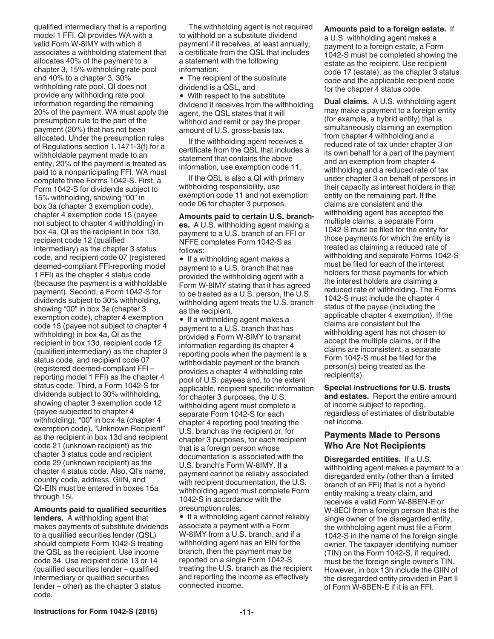<span id="page-10-0"></span>qualified intermediary that is a reporting model 1 FFI. QI provides WA with a valid Form W-8IMY with which it associates a withholding statement that allocates 40% of the payment to a chapter 3, 15% withholding rate pool and 40% to a chapter 3, 30% withholding rate pool. QI does not provide any withholding rate pool information regarding the remaining 20% of the payment. WA must apply the presumption rule to the part of the payment (20%) that has not been allocated. Under the presumption rules of Regulations section 1.1471-3(f) for a withholdable payment made to an entity, 20% of the payment is treated as paid to a nonparticipating FFI. WA must complete three Forms 1042-S. First, a Form 1042-S for dividends subject to 15% withholding, showing "00" in box 3a (chapter 3 exemption code), chapter 4 exemption code 15 (payee not subject to chapter 4 withholding) in box 4a, QI as the recipient in box 13d, recipient code 12 (qualified intermediary) as the chapter 3 status code, and recipient code 07 (registered deemed-compliant FFI-reporting model 1 FFI) as the chapter 4 status code (because the payment is a withholdable payment). Second, a Form 1042-S for dividends subject to 30% withholding, showing "00" in box 3a (chapter 3 exemption code), chapter 4 exemption code 15 (payee not subject to chapter 4 withholding) in box 4a, QI as the recipient in box 13d, recipient code 12 (qualified intermediary) as the chapter 3 status code, and recipient code 07 (registered deemed-compliant FFI – reporting model 1 FFI) as the chapter 4 status code. Third, a Form 1042-S for dividends subject to 30% withholding, showing chapter 3 exemption code 12 (payee subjected to chapter 4 withholding), "00" in box 4a (chapter 4 exemption code), "Unknown Recipient" as the recipient in box 13d and recipient code 21 (unknown recipient) as the chapter 3 status code and recipient code 29 (unknown recipient) as the chapter 4 status code. Also, QI's name, country code, address, GIIN, and QI-EIN must be entered in boxes 15a through 15i.

**Amounts paid to qualified securities** 

**lenders.** A withholding agent that makes payments of substitute dividends to a qualified securities lender (QSL) should complete Form 1042-S treating the QSL as the recipient. Use income code 34. Use recipient code 13 or 14 (qualified securities lender – qualified intermediary or qualified securities lender – other) as the chapter 3 status code.

The withholding agent is not required to withhold on a substitute dividend payment if it receives, at least annually, a certificate from the QSL that includes a statement with the following information:

• The recipient of the substitute dividend is a QSL, and

With respect to the substitute dividend it receives from the withholding agent, the QSL states that it will withhold and remit or pay the proper amount of U.S. gross-basis tax.

If the withholding agent receives a certificate from the QSL that includes a statement that contains the above information, use exemption code 11.

If the QSL is also a QI with primary withholding responsibility, use exemption code 11 and not exemption code 06 for chapter 3 purposes.

**Amounts paid to certain U.S. branches.** A U.S. withholding agent making a payment to a U.S. branch of an FFI or NFFE completes Form 1042-S as follows:

• If a withholding agent makes a payment to a U.S. branch that has provided the withholding agent with a Form W-8IMY stating that it has agreed to be treated as a U.S. person, the U.S. withholding agent treats the U.S. branch as the recipient.

• If a withholding agent makes a payment to a U.S. branch that has provided a Form W-8IMY to transmit information regarding its chapter 4 reporting pools when the payment is a withholdable payment or the branch provides a chapter 4 withholding rate pool of U.S. payees and, to the extent applicable, recipient specific information for chapter 3 purposes, the U.S. withholding agent must complete a separate Form 1042-S for each chapter 4 reporting pool treating the U.S. branch as the recipient or, for chapter 3 purposes, for each recipient that is a foreign person whose documentation is associated with the U.S. branch's Form W-8IMY. If a payment cannot be reliably associated with recipient documentation, the U.S. withholding agent must complete Form 1042-S in accordance with the presumption rules.

• If a withholding agent cannot reliably associate a payment with a Form W-8IMY from a U.S. branch, and if a withholding agent has an EIN for the branch, then the payment may be reported on a single Form 1042-S treating the U.S. branch as the recipient and reporting the income as effectively connected income.

**Amounts paid to a foreign estate.** If a U.S. withholding agent makes a payment to a foreign estate, a Form 1042-S must be completed showing the estate as the recipient. Use recipient code 17 (estate), as the chapter 3 status code and the applicable recipient code for the chapter 4 status code.

**Dual claims.** A U.S. withholding agent may make a payment to a foreign entity (for example, a hybrid entity) that is simultaneously claiming an exemption from chapter 4 withholding and a reduced rate of tax under chapter 3 on its own behalf for a part of the payment and an exemption from chapter 4 withholding and a reduced rate of tax under chapter 3 on behalf of persons in their capacity as interest holders in that entity on the remaining part. If the claims are consistent and the withholding agent has accepted the multiple claims, a separate Form 1042-S must be filed for the entity for those payments for which the entity is treated as claiming a reduced rate of withholding and separate Forms 1042-S must be filed for each of the interest holders for those payments for which the interest holders are claiming a reduced rate of withholding. The Forms 1042-S must include the chapter 4 status of the payee (including the applicable chapter 4 exemption). If the claims are consistent but the withholding agent has not chosen to accept the multiple claims, or if the claims are inconsistent, a separate Form 1042-S must be filed for the person(s) being treated as the recipient(s).

**Special instructions for U.S. trusts and estates.** Report the entire amount of income subject to reporting, regardless of estimates of distributable net income.

#### **Payments Made to Persons Who Are Not Recipients**

**Disregarded entities.** If a U.S. withholding agent makes a payment to a disregarded entity (other than a limited branch of an FFI) that is not a hybrid entity making a treaty claim, and receives a valid Form W-8BEN-E or W-8ECI from a foreign person that is the single owner of the disregarded entity, the withholding agent must file a Form 1042-S in the name of the foreign single owner. The taxpayer identifying number (TIN) on the Form 1042-S, if required, must be the foreign single owner's TIN. However, in box 13h include the GIIN of the disregarded entity provided in Part II of Form W-8BEN-E if it is an FFI.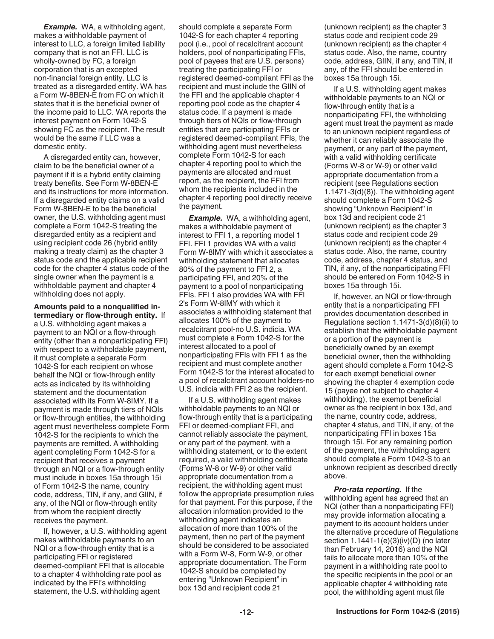<span id="page-11-0"></span>**Example.** WA, a withholding agent, makes a withholdable payment of interest to LLC, a foreign limited liability company that is not an FFI. LLC is wholly-owned by FC, a foreign corporation that is an excepted non-financial foreign entity. LLC is treated as a disregarded entity. WA has a Form W-8BEN-E from FC on which it states that it is the beneficial owner of the income paid to LLC. WA reports the interest payment on Form 1042-S showing FC as the recipient. The result would be the same if LLC was a domestic entity.

A disregarded entity can, however, claim to be the beneficial owner of a payment if it is a hybrid entity claiming treaty benefits. See Form W-8BEN-E and its instructions for more information. If a disregarded entity claims on a valid Form W-8BEN-E to be the beneficial owner, the U.S. withholding agent must complete a Form 1042-S treating the disregarded entity as a recipient and using recipient code 26 (hybrid entity making a treaty claim) as the chapter 3 status code and the applicable recipient code for the chapter 4 status code of the single owner when the payment is a withholdable payment and chapter 4 withholding does not apply.

**Amounts paid to a nonqualified intermediary or flow-through entity.** If a U.S. withholding agent makes a payment to an NQI or a flow-through entity (other than a nonparticipating FFI) with respect to a withholdable payment, it must complete a separate Form 1042-S for each recipient on whose behalf the NQI or flow-through entity acts as indicated by its withholding statement and the documentation associated with its Form W-8IMY. If a payment is made through tiers of NQIs or flow-through entities, the withholding agent must nevertheless complete Form 1042-S for the recipients to which the payments are remitted. A withholding agent completing Form 1042-S for a recipient that receives a payment through an NQI or a flow-through entity must include in boxes 15a through 15i of Form 1042-S the name, country code, address, TIN, if any, and GIIN, if any, of the NQI or flow-through entity from whom the recipient directly receives the payment.

If, however, a U.S. withholding agent makes withholdable payments to an NQI or a flow-through entity that is a participating FFI or registered deemed-compliant FFI that is allocable to a chapter 4 withholding rate pool as indicated by the FFI's withholding statement, the U.S. withholding agent

should complete a separate Form 1042-S for each chapter 4 reporting pool (i.e., pool of recalcitrant account holders, pool of nonparticipating FFIs, pool of payees that are U.S. persons) treating the participating FFI or registered deemed-compliant FFI as the recipient and must include the GIIN of the FFI and the applicable chapter 4 reporting pool code as the chapter 4 status code. If a payment is made through tiers of NQIs or flow-through entities that are participating FFIs or registered deemed-compliant FFIs, the withholding agent must nevertheless complete Form 1042-S for each chapter 4 reporting pool to which the payments are allocated and must report, as the recipient, the FFI from whom the recipients included in the chapter 4 reporting pool directly receive the payment.

*Example.* WA, a withholding agent, makes a withholdable payment of interest to FFI 1, a reporting model 1 FFI. FFI 1 provides WA with a valid Form W-8IMY with which it associates a withholding statement that allocates 80% of the payment to FFI 2, a participating FFI, and 20% of the payment to a pool of nonparticipating FFIs. FFI 1 also provides WA with FFI 2's Form W-8IMY with which it associates a withholding statement that allocates 100% of the payment to recalcitrant pool-no U.S. indicia. WA must complete a Form 1042-S for the interest allocated to a pool of nonparticipating FFIs with FFI 1 as the recipient and must complete another Form 1042-S for the interest allocated to a pool of recalcitrant account holders-no U.S. indicia with FFI 2 as the recipient.

If a U.S. withholding agent makes withholdable payments to an NQI or flow-through entity that is a participating FFI or deemed-compliant FFI, and cannot reliably associate the payment, or any part of the payment, with a withholding statement, or to the extent required, a valid withholding certificate (Forms W-8 or W-9) or other valid appropriate documentation from a recipient, the withholding agent must follow the appropriate presumption rules for that payment. For this purpose, if the allocation information provided to the withholding agent indicates an allocation of more than 100% of the payment, then no part of the payment should be considered to be associated with a Form W-8, Form W-9, or other appropriate documentation. The Form 1042-S should be completed by entering "Unknown Recipient" in box 13d and recipient code 21

(unknown recipient) as the chapter 3 status code and recipient code 29 (unknown recipient) as the chapter 4 status code. Also, the name, country code, address, GIIN, if any, and TIN, if any, of the FFI should be entered in boxes 15a through 15i.

If a U.S. withholding agent makes withholdable payments to an NQI or flow-through entity that is a nonparticipating FFI, the withholding agent must treat the payment as made to an unknown recipient regardless of whether it can reliably associate the payment, or any part of the payment, with a valid withholding certificate (Forms W-8 or W-9) or other valid appropriate documentation from a recipient (see Regulations section 1.1471-3(d)(8)). The withholding agent should complete a Form 1042-S showing "Unknown Recipient" in box 13d and recipient code 21 (unknown recipient) as the chapter 3 status code and recipient code 29 (unknown recipient) as the chapter 4 status code. Also, the name, country code, address, chapter 4 status, and TIN, if any, of the nonparticipating FFI should be entered on Form 1042-S in boxes 15a through 15i.

If, however, an NQI or flow-through entity that is a nonparticipating FFI provides documentation described in Regulations section 1.1471-3(d)(8)(ii) to establish that the withholdable payment or a portion of the payment is beneficially owned by an exempt beneficial owner, then the withholding agent should complete a Form 1042-S for each exempt beneficial owner showing the chapter 4 exemption code 15 (payee not subject to chapter 4 withholding), the exempt beneficial owner as the recipient in box 13d, and the name, country code, address, chapter 4 status, and TIN, if any, of the nonparticipating FFI in boxes 15a through 15i. For any remaining portion of the payment, the withholding agent should complete a Form 1042-S to an unknown recipient as described directly above.

*Pro-rata reporting.* If the withholding agent has agreed that an NQI (other than a nonparticipating FFI) may provide information allocating a payment to its account holders under the alternative procedure of Regulations section 1.1441-1(e)(3)(iv)(D) (no later than February 14, 2016) and the NQI fails to allocate more than 10% of the payment in a withholding rate pool to the specific recipients in the pool or an applicable chapter 4 withholding rate pool, the withholding agent must file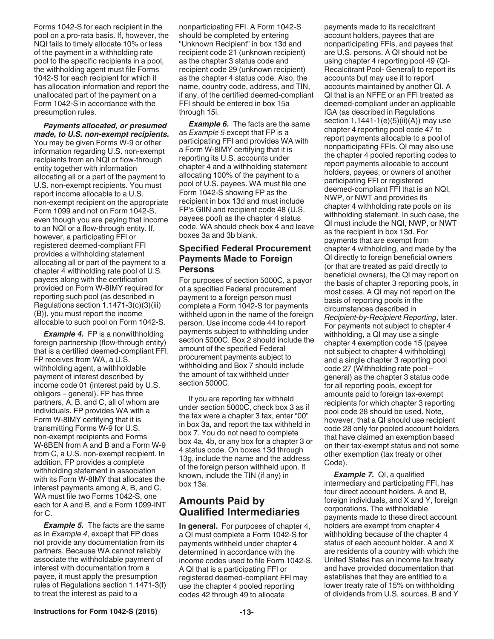<span id="page-12-0"></span>Forms 1042-S for each recipient in the pool on a pro-rata basis. If, however, the NQI fails to timely allocate 10% or less of the payment in a withholding rate pool to the specific recipients in a pool, the withholding agent must file Forms 1042-S for each recipient for which it has allocation information and report the unallocated part of the payment on a Form 1042-S in accordance with the presumption rules.

#### *Payments allocated, or presumed made, to U.S. non-exempt recipients.*

You may be given Forms W-9 or other information regarding U.S. non-exempt recipients from an NQI or flow-through entity together with information allocating all or a part of the payment to U.S. non-exempt recipients. You must report income allocable to a U.S. non-exempt recipient on the appropriate Form 1099 and not on Form 1042-S, even though you are paying that income to an NQI or a flow-through entity. If, however, a participating FFI or registered deemed-compliant FFI provides a withholding statement allocating all or part of the payment to a chapter 4 withholding rate pool of U.S. payees along with the certification provided on Form W-8IMY required for reporting such pool (as described in Regulations section 1.1471-3(c)(3)(iii) (B)), you must report the income allocable to such pool on Form 1042-S.

*Example 4.* FP is a nonwithholding foreign partnership (flow-through entity) that is a certified deemed-compliant FFI. FP receives from WA, a U.S. withholding agent, a withholdable payment of interest described by income code 01 (interest paid by U.S. obligors – general). FP has three partners, A, B, and C, all of whom are individuals. FP provides WA with a Form W-8IMY certifying that it is transmitting Forms W-9 for U.S. non-exempt recipients and Forms W-8BEN from A and B and a Form W-9 from C, a U.S. non-exempt recipient. In addition, FP provides a complete withholding statement in association with its Form W-8IMY that allocates the interest payments among A, B, and C. WA must file two Forms 1042-S, one each for A and B, and a Form 1099-INT for C.

**Example 5.** The facts are the same as in *Example 4*, except that FP does not provide any documentation from its partners. Because WA cannot reliably associate the withholdable payment of interest with documentation from a payee, it must apply the presumption rules of Regulations section 1.1471-3(f) to treat the interest as paid to a

nonparticipating FFI. A Form 1042-S should be completed by entering "Unknown Recipient" in box 13d and recipient code 21 (unknown recipient) as the chapter 3 status code and recipient code 29 (unknown recipient) as the chapter 4 status code. Also, the name, country code, address, and TIN, if any, of the certified deemed-compliant FFI should be entered in box 15a through 15i.

**Example 6.** The facts are the same as *Example 5* except that FP is a participating FFI and provides WA with a Form W-8IMY certifying that it is reporting its U.S. accounts under chapter 4 and a withholding statement allocating 100% of the payment to a pool of U.S. payees. WA must file one Form 1042-S showing FP as the recipient in box 13d and must include FP's GIIN and recipient code 48 (U.S. payees pool) as the chapter 4 status code. WA should check box 4 and leave boxes 3a and 3b blank.

### **Specified Federal Procurement Payments Made to Foreign Persons**

For purposes of section 5000C, a payor of a specified Federal procurement payment to a foreign person must complete a Form 1042-S for payments withheld upon in the name of the foreign person. Use income code 44 to report payments subject to withholding under section 5000C. Box 2 should include the amount of the specified Federal procurement payments subject to withholding and Box 7 should include the amount of tax withheld under section 5000C.

If you are reporting tax withheld under section 5000C, check box 3 as if the tax were a chapter 3 tax, enter "00" in box 3a, and report the tax withheld in box 7. You do not need to complete box 4a, 4b, or any box for a chapter 3 or 4 status code. On boxes 13d through 13g, include the name and the address of the foreign person withheld upon. If known, include the TIN (if any) in box 13a.

# **Amounts Paid by Qualified Intermediaries**

**In general.** For purposes of chapter 4, a QI must complete a Form 1042-S for payments withheld under chapter 4 determined in accordance with the income codes used to file Form 1042-S. A QI that is a participating FFI or registered deemed-compliant FFI may use the chapter 4 pooled reporting codes 42 through 49 to allocate

payments made to its recalcitrant account holders, payees that are nonparticipating FFIs, and payees that are U.S. persons. A QI should not be using chapter 4 reporting pool 49 (QI‐ Recalcitrant Pool‐ General) to report its accounts but may use it to report accounts maintained by another QI. A QI that is an NFFE or an FFI treated as deemed-compliant under an applicable IGA (as described in Regulations section  $1.1441-1(e)(5)(ii)(A)$  may use chapter 4 reporting pool code 47 to report payments allocable to a pool of nonparticipating FFIs. QI may also use the chapter 4 pooled reporting codes to report payments allocable to account holders, payees, or owners of another participating FFI or registered deemed-compliant FFI that is an NQI, NWP, or NWT and provides its chapter 4 withholding rate pools on its withholding statement. In such case, the QI must include the NQI, NWP, or NWT as the recipient in box 13d. For payments that are exempt from chapter 4 withholding, and made by the QI directly to foreign beneficial owners (or that are treated as paid directly to beneficial owners), the QI may report on the basis of chapter 3 reporting pools, in most cases. A QI may not report on the basis of reporting pools in the circumstances described in *Recipient-by-Recipient Reporting*, later. For payments not subject to chapter 4 withholding, a QI may use a single chapter 4 exemption code 15 (payee not subject to chapter 4 withholding) and a single chapter 3 reporting pool code 27 (Withholding rate pool – general) as the chapter 3 status code for all reporting pools, except for amounts paid to foreign tax-exempt recipients for which chapter 3 reporting pool code 28 should be used. Note, however, that a QI should use recipient code 28 only for pooled account holders that have claimed an exemption based on their tax-exempt status and not some other exemption (tax treaty or other Code).

*Example 7.* QI, a qualified intermediary and participating FFI, has four direct account holders, A and B, foreign individuals, and X and Y, foreign corporations. The withholdable payments made to these direct account holders are exempt from chapter 4 withholding because of the chapter 4 status of each account holder. A and X are residents of a country with which the United States has an income tax treaty and have provided documentation that establishes that they are entitled to a lower treaty rate of 15% on withholding of dividends from U.S. sources. B and Y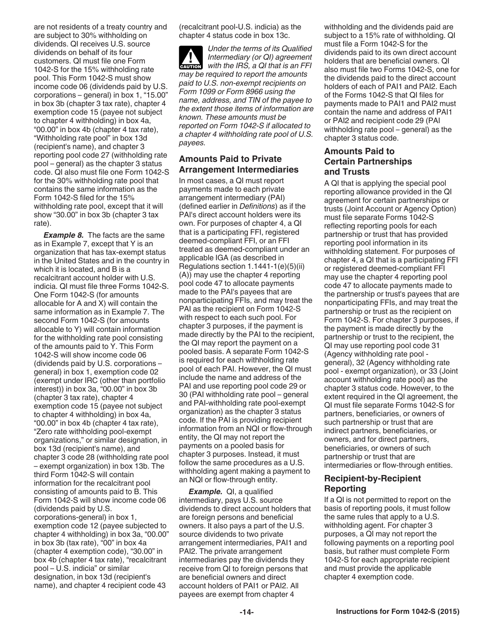are not residents of a treaty country and are subject to 30% withholding on dividends. QI receives U.S. source dividends on behalf of its four customers. QI must file one Form 1042-S for the 15% withholding rate pool. This Form 1042-S must show income code 06 (dividends paid by U.S. corporations – general) in box 1, "15.00" in box 3b (chapter 3 tax rate), chapter 4 exemption code 15 (payee not subject to chapter 4 withholding) in box 4a, "00.00" in box 4b (chapter 4 tax rate), "Withholding rate pool" in box 13d (recipient's name), and chapter 3 reporting pool code 27 (withholding rate pool – general) as the chapter 3 status code. QI also must file one Form 1042-S for the 30% withholding rate pool that contains the same information as the Form 1042-S filed for the 15% withholding rate pool, except that it will show "30.00" in box 3b (chapter 3 tax rate).

**Example 8.** The facts are the same as in Example 7, except that Y is an organization that has tax-exempt status in the United States and in the country in which it is located, and B is a recalcitrant account holder with U.S. indicia. QI must file three Forms 1042-S. One Form 1042-S (for amounts allocable for A and X) will contain the same information as in Example 7. The second Form 1042-S (for amounts allocable to Y) will contain information for the withholding rate pool consisting of the amounts paid to Y. This Form 1042-S will show income code 06 (dividends paid by U.S. corporations – general) in box 1, exemption code 02 (exempt under IRC (other than portfolio interest)) in box 3a, "00.00" in box 3b (chapter 3 tax rate), chapter 4 exemption code 15 (payee not subject to chapter 4 withholding) in box 4a, "00.00" in box 4b (chapter 4 tax rate), "Zero rate withholding pool-exempt organizations," or similar designation, in box 13d (recipient's name), and chapter 3 code 28 (withholding rate pool – exempt organization) in box 13b. The third Form 1042-S will contain information for the recalcitrant pool consisting of amounts paid to B. This Form 1042-S will show income code 06 (dividends paid by U.S. corporations-general) in box 1, exemption code 12 (payee subjected to chapter 4 withholding) in box 3a, "00.00" in box 3b (tax rate), "00" in box 4a (chapter 4 exemption code), "30.00" in box 4b (chapter 4 tax rate), "recalcitrant pool – U.S. indicia" or similar designation, in box 13d (recipient's name), and chapter 4 recipient code 43

(recalcitrant pool-U.S. indicia) as the chapter 4 status code in box 13c.

*Under the terms of its Qualified Intermediary (or QI) agreement*  **CAUTION** Intermediary (or QI) agreement<br>with the IRS, a QI that is an FFI *may be required to report the amounts paid to U.S. non-exempt recipients on Form 1099 or Form 8966 using the name, address, and TIN of the payee to the extent those items of information are known. These amounts must be reported on Form 1042-S if allocated to a chapter 4 withholding rate pool of U.S. payees.*

## **Amounts Paid to Private Arrangement Intermediaries**

In most cases, a QI must report payments made to each private arrangement intermediary (PAI) (defined earlier in *Definitions*) as if the PAI's direct account holders were its own. For purposes of chapter 4, a QI that is a participating FFI, registered deemed-compliant FFI, or an FFI treated as deemed-compliant under an applicable IGA (as described in Regulations section 1.1441-1(e)(5)(ii) (A)) may use the chapter 4 reporting pool code 47 to allocate payments made to the PAI's payees that are nonparticipating FFIs, and may treat the PAI as the recipient on Form 1042-S with respect to each such pool. For chapter 3 purposes, if the payment is made directly by the PAI to the recipient, the QI may report the payment on a pooled basis. A separate Form 1042-S is required for each withholding rate pool of each PAI. However, the QI must include the name and address of the PAI and use reporting pool code 29 or 30 (PAI withholding rate pool – general and PAI-withholding rate pool-exempt organization) as the chapter 3 status code. If the PAI is providing recipient information from an NQI or flow-through entity, the QI may not report the payments on a pooled basis for chapter 3 purposes. Instead, it must follow the same procedures as a U.S. withholding agent making a payment to an NQI or flow-through entity.

*Example.* QI, a qualified intermediary, pays U.S. source dividends to direct account holders that are foreign persons and beneficial owners. It also pays a part of the U.S. source dividends to two private arrangement intermediaries, PAI1 and PAI2. The private arrangement intermediaries pay the dividends they receive from QI to foreign persons that are beneficial owners and direct account holders of PAI1 or PAI2. All payees are exempt from chapter 4

withholding and the dividends paid are subject to a 15% rate of withholding. QI must file a Form 1042-S for the dividends paid to its own direct account holders that are beneficial owners. QI also must file two Forms 1042-S, one for the dividends paid to the direct account holders of each of PAI1 and PAI2. Each of the Forms 1042-S that QI files for payments made to PAI1 and PAI2 must contain the name and address of PAI1 or PAI2 and recipient code 29 (PAI withholding rate pool – general) as the chapter 3 status code.

#### **Amounts Paid to Certain Partnerships and Trusts**

A QI that is applying the special pool reporting allowance provided in the QI agreement for certain partnerships or trusts (Joint Account or Agency Option) must file separate Forms 1042-S reflecting reporting pools for each partnership or trust that has provided reporting pool information in its withholding statement. For purposes of chapter 4, a QI that is a participating FFI or registered deemed-compliant FFI may use the chapter 4 reporting pool code 47 to allocate payments made to the partnership or trust's payees that are nonparticipating FFIs, and may treat the partnership or trust as the recipient on Form 1042-S. For chapter 3 purposes, if the payment is made directly by the partnership or trust to the recipient, the QI may use reporting pool code 31 (Agency withholding rate pool general), 32 (Agency withholding rate pool - exempt organization), or 33 (Joint account withholding rate pool) as the chapter 3 status code. However, to the extent required in the QI agreement, the QI must file separate Forms 1042-S for partners, beneficiaries, or owners of such partnership or trust that are indirect partners, beneficiaries, or owners, and for direct partners, beneficiaries, or owners of such partnership or trust that are intermediaries or flow-through entities.

#### **Recipient-by-Recipient Reporting**

If a QI is not permitted to report on the basis of reporting pools, it must follow the same rules that apply to a U.S. withholding agent. For chapter 3 purposes, a QI may not report the following payments on a reporting pool basis, but rather must complete Form 1042-S for each appropriate recipient and must provide the applicable chapter 4 exemption code.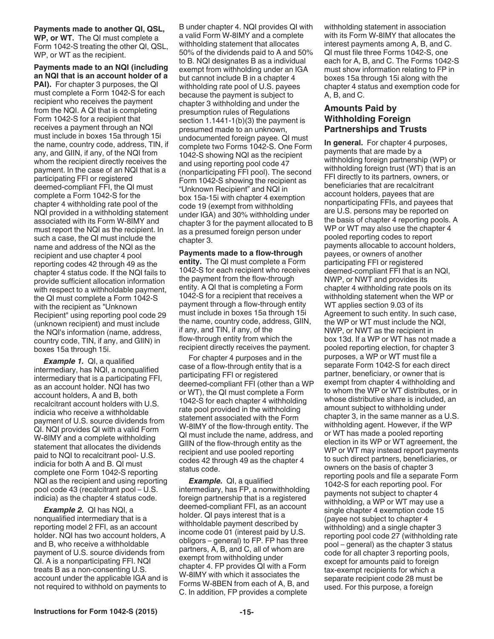**Payments made to another QI, QSL, WP, or WT.** The QI must complete a Form 1042-S treating the other QI, QSL, WP, or WT as the recipient.

**Payments made to an NQI (including an NQI that is an account holder of a PAI).** For chapter 3 purposes, the QI must complete a Form 1042-S for each recipient who receives the payment from the NQI. A QI that is completing Form 1042-S for a recipient that receives a payment through an NQI must include in boxes 15a through 15i the name, country code, address, TIN, if any, and GIIN, if any, of the NQI from whom the recipient directly receives the payment. In the case of an NQI that is a participating FFI or registered deemed-compliant FFI, the QI must complete a Form 1042-S for the chapter 4 withholding rate pool of the NQI provided in a withholding statement associated with its Form W-8IMY and must report the NQI as the recipient. In such a case, the QI must include the name and address of the NQI as the recipient and use chapter 4 pool reporting codes 42 through 49 as the chapter 4 status code. If the NQI fails to provide sufficient allocation information with respect to a withholdable payment, the QI must complete a Form 1042-S with the recipient as "Unknown Recipient" using reporting pool code 29 (unknown recipient) and must include the NQI's information (name, address, country code, TIN, if any, and GIIN) in boxes 15a through 15i.

**Example 1.** QI, a qualified intermediary, has NQI, a nonqualified intermediary that is a participating FFI, as an account holder. NQI has two account holders, A and B, both recalcitrant account holders with U.S. indicia who receive a withholdable payment of U.S. source dividends from QI. NQI provides QI with a valid Form W-8IMY and a complete withholding statement that allocates the dividends paid to NQI to recalcitrant pool- U.S. indicia for both A and B. QI must complete one Form 1042-S reporting NQI as the recipient and using reporting pool code 43 (recalcitrant pool – U.S. indicia) as the chapter 4 status code.

*Example 2.* QI has NQI, a nonqualified intermediary that is a reporting model 2 FFI, as an account holder. NQI has two account holders, A and B, who receive a withholdable payment of U.S. source dividends from QI. A is a nonparticipating FFI. NQI treats B as a non-consenting U.S. account under the applicable IGA and is not required to withhold on payments to

B under chapter 4. NQI provides QI with a valid Form W-8IMY and a complete withholding statement that allocates 50% of the dividends paid to A and 50% to B. NQI designates B as a individual exempt from withholding under an IGA but cannot include B in a chapter 4 withholding rate pool of U.S. payees because the payment is subject to chapter 3 withholding and under the presumption rules of Regulations section 1.1441-1(b)(3) the payment is presumed made to an unknown, undocumented foreign payee. QI must complete two Forms 1042-S. One Form 1042-S showing NQI as the recipient and using reporting pool code 47 (nonparticipating FFI pool). The second Form 1042-S showing the recipient as "Unknown Recipient" and NQI in box 15a-15i with chapter 4 exemption code 19 (exempt from withholding under IGA) and 30% withholding under chapter 3 for the payment allocated to B as a presumed foreign person under chapter 3.

#### **Payments made to a flow-through**

**entity.** The QI must complete a Form 1042-S for each recipient who receives the payment from the flow-through entity. A QI that is completing a Form 1042-S for a recipient that receives a payment through a flow-through entity must include in boxes 15a through 15i the name, country code, address, GIIN, if any, and TIN, if any, of the flow-through entity from which the recipient directly receives the payment.

For chapter 4 purposes and in the case of a flow-through entity that is a participating FFI or registered deemed-compliant FFI (other than a WP or WT), the QI must complete a Form 1042-S for each chapter 4 withholding rate pool provided in the withholding statement associated with the Form W-8IMY of the flow-through entity. The QI must include the name, address, and GIIN of the flow-through entity as the recipient and use pooled reporting codes 42 through 49 as the chapter 4 status code.

*Example.* QI, a qualified intermediary, has FP, a nonwithholding foreign partnership that is a registered deemed-compliant FFI, as an account holder. QI pays interest that is a withholdable payment described by income code 01 (interest paid by U.S. obligors – general) to FP. FP has three partners, A, B, and C, all of whom are exempt from withholding under chapter 4. FP provides QI with a Form W-8IMY with which it associates the Forms W-8BEN from each of A, B, and C. In addition, FP provides a complete

withholding statement in association with its Form W-8IMY that allocates the interest payments among A, B, and C. QI must file three Forms 1042-S, one each for A, B, and C. The Forms 1042-S must show information relating to FP in boxes 15a through 15i along with the chapter 4 status and exemption code for A, B, and C.

### **Amounts Paid by Withholding Foreign Partnerships and Trusts**

**In general.** For chapter 4 purposes, payments that are made by a withholding foreign partnership (WP) or withholding foreign trust (WT) that is an FFI directly to its partners, owners, or beneficiaries that are recalcitrant account holders, payees that are nonparticipating FFIs, and payees that are U.S. persons may be reported on the basis of chapter 4 reporting pools. A WP or WT may also use the chapter 4 pooled reporting codes to report payments allocable to account holders, payees, or owners of another participating FFI or registered deemed-compliant FFI that is an NQI, NWP, or NWT and provides its chapter 4 withholding rate pools on its withholding statement when the WP or WT applies section 9.03 of its Agreement to such entity. In such case, the WP or WT must include the NQI, NWP, or NWT as the recipient in box 13d. If a WP or WT has not made a pooled reporting election, for chapter 3 purposes, a WP or WT must file a separate Form 1042-S for each direct partner, beneficiary, or owner that is exempt from chapter 4 withholding and to whom the WP or WT distributes, or in whose distributive share is included, an amount subject to withholding under chapter 3, in the same manner as a U.S. withholding agent. However, if the WP or WT has made a pooled reporting election in its WP or WT agreement, the WP or WT may instead report payments to such direct partners, beneficiaries, or owners on the basis of chapter 3 reporting pools and file a separate Form 1042-S for each reporting pool. For payments not subject to chapter 4 withholding, a WP or WT may use a single chapter 4 exemption code 15 (payee not subject to chapter 4 withholding) and a single chapter 3 reporting pool code 27 (withholding rate pool – general) as the chapter 3 status code for all chapter 3 reporting pools, except for amounts paid to foreign tax-exempt recipients for which a separate recipient code 28 must be used. For this purpose, a foreign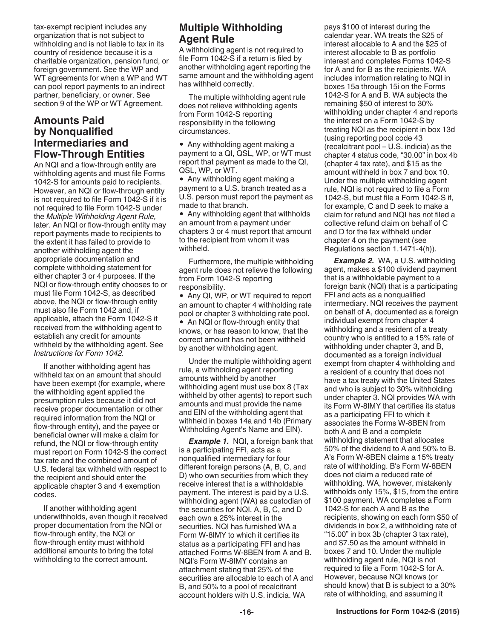<span id="page-15-0"></span>tax-exempt recipient includes any organization that is not subject to withholding and is not liable to tax in its country of residence because it is a charitable organization, pension fund, or foreign government. See the WP and WT agreements for when a WP and WT can pool report payments to an indirect partner, beneficiary, or owner. See section 9 of the WP or WT Agreement.

## **Amounts Paid by Nonqualified Intermediaries and Flow-Through Entities**

An NQI and a flow-through entity are withholding agents and must file Forms 1042-S for amounts paid to recipients. However, an NQI or flow-through entity is not required to file Form 1042-S if it is not required to file Form 1042-S under the *Multiple Withholding Agent Rule,*  later. An NQI or flow-through entity may report payments made to recipients to the extent it has failed to provide to another withholding agent the appropriate documentation and complete withholding statement for either chapter 3 or 4 purposes. If the NQI or flow-through entity chooses to or must file Form 1042-S, as described above, the NQI or flow-through entity must also file Form 1042 and, if applicable, attach the Form 1042-S it received from the withholding agent to establish any credit for amounts withheld by the withholding agent. See *Instructions for Form 1042.*

If another withholding agent has withheld tax on an amount that should have been exempt (for example, where the withholding agent applied the presumption rules because it did not receive proper documentation or other required information from the NQI or flow-through entity), and the payee or beneficial owner will make a claim for refund, the NQI or flow-through entity must report on Form 1042-S the correct tax rate and the combined amount of U.S. federal tax withheld with respect to the recipient and should enter the applicable chapter 3 and 4 exemption codes.

If another withholding agent underwithholds, even though it received proper documentation from the NQI or flow-through entity, the NQI or flow-through entity must withhold additional amounts to bring the total withholding to the correct amount.

# **Multiple Withholding Agent Rule**

A withholding agent is not required to file Form 1042-S if a return is filed by another withholding agent reporting the same amount and the withholding agent has withheld correctly.

The multiple withholding agent rule does not relieve withholding agents from Form 1042-S reporting responsibility in the following circumstances.

• Any withholding agent making a payment to a QI, QSL, WP, or WT must report that payment as made to the QI, QSL, WP, or WT.

• Any withholding agent making a payment to a U.S. branch treated as a U.S. person must report the payment as made to that branch.

• Any withholding agent that withholds an amount from a payment under chapters 3 or 4 must report that amount to the recipient from whom it was withheld.

Furthermore, the multiple withholding agent rule does not relieve the following from Form 1042-S reporting responsibility.

• Any QI, WP, or WT required to report an amount to chapter 4 withholding rate pool or chapter 3 withholding rate pool.

• An NQI or flow-through entity that knows, or has reason to know, that the correct amount has not been withheld by another withholding agent.

Under the multiple withholding agent rule, a withholding agent reporting amounts withheld by another withholding agent must use box 8 (Tax withheld by other agents) to report such amounts and must provide the name and EIN of the withholding agent that withheld in boxes 14a and 14b (Primary Withholding Agent's Name and EIN).

**Example 1.** NQI, a foreign bank that is a participating FFI, acts as a nonqualified intermediary for four different foreign persons (A, B, C, and D) who own securities from which they receive interest that is a withholdable payment. The interest is paid by a U.S. withholding agent (WA) as custodian of the securities for NQI. A, B, C, and D each own a 25% interest in the securities. NQI has furnished WA a Form W-8IMY to which it certifies its status as a participating FFI and has attached Forms W-8BEN from A and B. NQI's Form W-8IMY contains an attachment stating that 25% of the securities are allocable to each of A and B, and 50% to a pool of recalcitrant account holders with U.S. indicia. WA

pays \$100 of interest during the calendar year. WA treats the \$25 of interest allocable to A and the \$25 of interest allocable to B as portfolio interest and completes Forms 1042-S for A and for B as the recipients. WA includes information relating to NQI in boxes 15a through 15i on the Forms 1042-S for A and B. WA subjects the remaining \$50 of interest to 30% withholding under chapter 4 and reports the interest on a Form 1042-S by treating NQI as the recipient in box 13d (using reporting pool code 43 (recalcitrant pool – U.S. indicia) as the chapter 4 status code, "30.00" in box 4b (chapter 4 tax rate), and \$15 as the amount withheld in box 7 and box 10. Under the multiple withholding agent rule, NQI is not required to file a Form 1042-S, but must file a Form 1042-S if, for example, C and D seek to make a claim for refund and NQI has not filed a collective refund claim on behalf of C and D for the tax withheld under chapter 4 on the payment (see Regulations section 1.1471-4(h)).

**Example 2.** WA, a U.S. withholding agent, makes a \$100 dividend payment that is a withholdable payment to a foreign bank (NQI) that is a participating FFI and acts as a nonqualified intermediary. NQI receives the payment on behalf of A, documented as a foreign individual exempt from chapter 4 withholding and a resident of a treaty country who is entitled to a 15% rate of withholding under chapter 3, and B, documented as a foreign individual exempt from chapter 4 withholding and a resident of a country that does not have a tax treaty with the United States and who is subject to 30% withholding under chapter 3. NQI provides WA with its Form W-8IMY that certifies its status as a participating FFI to which it associates the Forms W-8BEN from both A and B and a complete withholding statement that allocates 50% of the dividend to A and 50% to B. A's Form W-8BEN claims a 15% treaty rate of withholding. B's Form W-8BEN does not claim a reduced rate of withholding. WA, however, mistakenly withholds only 15%, \$15, from the entire \$100 payment. WA completes a Form 1042-S for each A and B as the recipients, showing on each form \$50 of dividends in box 2, a withholding rate of "15.00" in box 3b (chapter 3 tax rate), and \$7.50 as the amount withheld in boxes 7 and 10. Under the multiple withholding agent rule, NQI is not required to file a Form 1042-S for A. However, because NQI knows (or should know) that B is subject to a 30% rate of withholding, and assuming it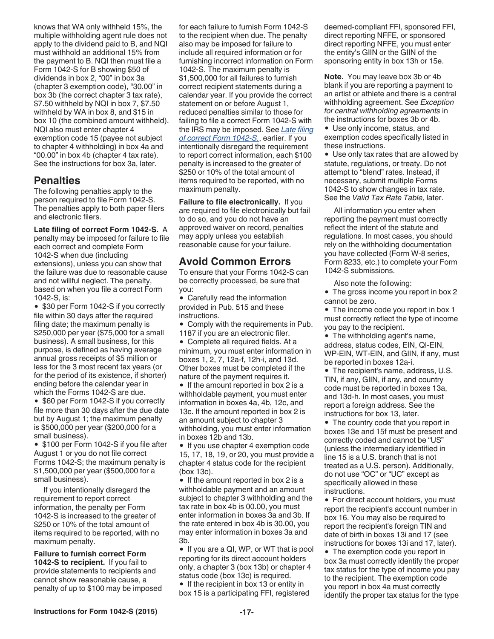<span id="page-16-0"></span>knows that WA only withheld 15%, the multiple withholding agent rule does not apply to the dividend paid to B, and NQI must withhold an additional 15% from the payment to B. NQI then must file a Form 1042-S for B showing \$50 of dividends in box 2, "00" in box 3a (chapter 3 exemption code), "30.00" in box 3b (the correct chapter 3 tax rate), \$7.50 withheld by NQI in box 7, \$7.50 withheld by WA in box 8, and \$15 in box 10 (the combined amount withheld). NQI also must enter chapter 4 exemption code 15 (payee not subject to chapter 4 withholding) in box 4a and "00.00" in box 4b (chapter 4 tax rate). See the instructions for box 3a, later.

## **Penalties**

The following penalties apply to the person required to file Form 1042-S. The penalties apply to both paper filers and electronic filers.

**Late filing of correct Form 1042-S.** A penalty may be imposed for failure to file each correct and complete Form 1042-S when due (including extensions), unless you can show that the failure was due to reasonable cause and not willful neglect. The penalty, based on when you file a correct Form 1042-S, is:

• \$30 per Form 1042-S if you correctly file within 30 days after the required filing date; the maximum penalty is \$250,000 per year (\$75,000 for a small business). A small business, for this purpose, is defined as having average annual gross receipts of \$5 million or less for the 3 most recent tax years (or for the period of its existence, if shorter) ending before the calendar year in which the Forms 1042-S are due.

• \$60 per Form 1042-S if you correctly file more than 30 days after the due date but by August 1; the maximum penalty is \$500,000 per year (\$200,000 for a small business).

• \$100 per Form 1042-S if you file after August 1 or you do not file correct Forms 1042-S; the maximum penalty is \$1,500,000 per year (\$500,000 for a small business).

If you intentionally disregard the requirement to report correct information, the penalty per Form 1042-S is increased to the greater of \$250 or 10% of the total amount of items required to be reported, with no maximum penalty.

**Failure to furnish correct Form 1042-S to recipient.** If you fail to provide statements to recipients and cannot show reasonable cause, a penalty of up to \$100 may be imposed for each failure to furnish Form 1042-S to the recipient when due. The penalty also may be imposed for failure to include all required information or for furnishing incorrect information on Form 1042-S. The maximum penalty is \$1,500,000 for all failures to furnish correct recipient statements during a calendar year. If you provide the correct statement on or before August 1, reduced penalties similar to those for failing to file a correct Form 1042-S with the IRS may be imposed. See *Late filing of correct Form 1042-S.*, earlier. If you intentionally disregard the requirement to report correct information, each \$100 penalty is increased to the greater of \$250 or 10% of the total amount of items required to be reported, with no maximum penalty.

**Failure to file electronically.** If you are required to file electronically but fail to do so, and you do not have an approved waiver on record, penalties may apply unless you establish reasonable cause for your failure.

# **Avoid Common Errors**

To ensure that your Forms 1042-S can be correctly processed, be sure that you:

Carefully read the information provided in Pub. 515 and these instructions.

Comply with the requirements in Pub.

1187 if you are an electronic filer.

Complete all required fields. At a minimum, you must enter information in boxes 1, 2, 7, 12a-f, 12h-i, and 13d. Other boxes must be completed if the nature of the payment requires it.

 $\bullet$  If the amount reported in box 2 is a withholdable payment, you must enter information in boxes 4a, 4b, 12c, and 13c. If the amount reported in box 2 is an amount subject to chapter 3 withholding, you must enter information in boxes 12b and 13b.

• If you use chapter 4 exemption code 15, 17, 18, 19, or 20, you must provide a chapter 4 status code for the recipient (box 13c).

 $\bullet$  If the amount reported in box 2 is a withholdable payment and an amount subject to chapter 3 withholding and the tax rate in box 4b is 00.00, you must enter information in boxes 3a and 3b. If the rate entered in box 4b is 30.00, you may enter information in boxes 3a and 3b.

If you are a QI, WP, or WT that is pool reporting for its direct account holders only, a chapter 3 (box 13b) or chapter 4 status code (box 13c) is required.

• If the recipient in box 13 or entity in box 15 is a participating FFI, registered deemed-compliant FFI, sponsored FFI, direct reporting NFFE, or sponsored direct reporting NFFE, you must enter the entity's GIIN or the GIIN of the sponsoring entity in box 13h or 15e.

**Note.** You may leave box 3b or 4b blank if you are reporting a payment to an artist or athlete and there is a central withholding agreement. See *Exception for central withholding agreements* in the instructions for boxes 3b or 4b.

Use only income, status, and exemption codes specifically listed in these instructions.

Use only tax rates that are allowed by statute, regulations, or treaty. Do not attempt to "blend" rates. Instead, if necessary, submit multiple Forms 1042-S to show changes in tax rate. See the *Valid Tax Rate Table,* later.

All information you enter when reporting the payment must correctly reflect the intent of the statute and regulations. In most cases, you should rely on the withholding documentation you have collected (Form W-8 series, Form 8233, etc.) to complete your Form 1042-S submissions.

Also note the following:

• The gross income you report in box 2 cannot be zero.

• The income code you report in box 1 must correctly reflect the type of income you pay to the recipient.

• The withholding agent's name, address, status codes, EIN, QI-EIN, WP-EIN, WT-EIN, and GIIN, if any, must be reported in boxes 12a-i.

• The recipient's name, address, U.S. TIN, if any, GIIN, if any, and country code must be reported in boxes 13a, and 13d-h. In most cases, you must report a foreign address. See the instructions for box 13, later.

• The country code that you report in boxes 13e and 15f must be present and correctly coded and cannot be "US" (unless the intermediary identified in line 15 is a U.S. branch that is not treated as a U.S. person). Additionally, do not use "OC" or "UC" except as specifically allowed in these instructions.

• For direct account holders, you must report the recipient's account number in box 16. You may also be required to report the recipient's foreign TIN and date of birth in boxes 13i and 17 (see instructions for boxes 13i and 17, later).

The exemption code you report in box 3a must correctly identify the proper tax status for the type of income you pay to the recipient. The exemption code you report in box 4a must correctly identify the proper tax status for the type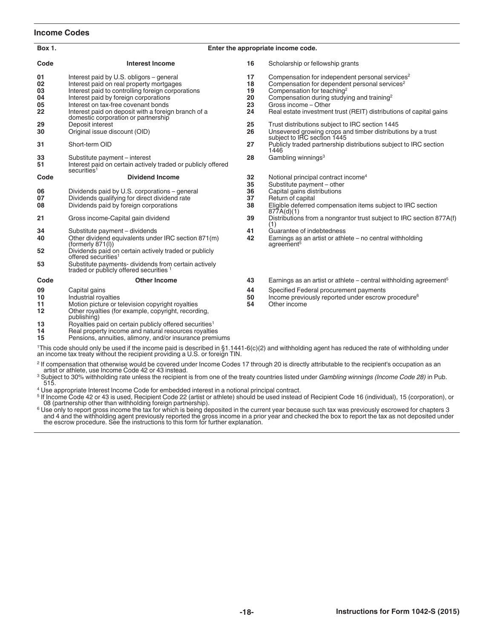#### **Income Codes**

| <b>Box 1.</b>                                                                                                                                                                                                                                | Enter the appropriate income code.                                                                                                                                                                                                                                                                                                                       |                                  |                                                                                                                                                                                                                                                                                                                            |  |  |
|----------------------------------------------------------------------------------------------------------------------------------------------------------------------------------------------------------------------------------------------|----------------------------------------------------------------------------------------------------------------------------------------------------------------------------------------------------------------------------------------------------------------------------------------------------------------------------------------------------------|----------------------------------|----------------------------------------------------------------------------------------------------------------------------------------------------------------------------------------------------------------------------------------------------------------------------------------------------------------------------|--|--|
| Code                                                                                                                                                                                                                                         | <b>Interest Income</b>                                                                                                                                                                                                                                                                                                                                   | 16                               | Scholarship or fellowship grants                                                                                                                                                                                                                                                                                           |  |  |
| 01<br>02<br>03<br>04<br>05<br>22                                                                                                                                                                                                             | Interest paid by U.S. obligors - general<br>Interest paid on real property mortgages<br>Interest paid to controlling foreign corporations<br>Interest paid by foreign corporations<br>Interest on tax-free covenant bonds<br>Interest paid on deposit with a foreign branch of a<br>domestic corporation or partnership                                  | 17<br>18<br>19<br>20<br>23<br>24 | Compensation for independent personal services <sup>2</sup><br>Compensation for dependent personal services <sup>2</sup><br>Compensation for teaching <sup>2</sup><br>Compensation during studying and training <sup>2</sup><br>Gross income - Other<br>Real estate investment trust (REIT) distributions of capital gains |  |  |
| 29<br>30                                                                                                                                                                                                                                     | Deposit interest<br>Original issue discount (OID)                                                                                                                                                                                                                                                                                                        | 25<br>26                         | Trust distributions subject to IRC section 1445<br>Unsevered growing crops and timber distributions by a trust<br>subject to IRC section 1445                                                                                                                                                                              |  |  |
| 31                                                                                                                                                                                                                                           | Short-term OID                                                                                                                                                                                                                                                                                                                                           | 27                               | Publicly traded partnership distributions subject to IRC section<br>1446                                                                                                                                                                                                                                                   |  |  |
| 33<br>51                                                                                                                                                                                                                                     | Substitute payment - interest<br>Interest paid on certain actively traded or publicly offered<br>securities <sup>1</sup>                                                                                                                                                                                                                                 | 28                               | Gambling winnings <sup>3</sup>                                                                                                                                                                                                                                                                                             |  |  |
| Code                                                                                                                                                                                                                                         | <b>Dividend Income</b>                                                                                                                                                                                                                                                                                                                                   | 32<br>35                         | Notional principal contract income <sup>4</sup><br>Substitute payment - other                                                                                                                                                                                                                                              |  |  |
| 06<br>07<br>08                                                                                                                                                                                                                               | Dividends paid by U.S. corporations - general<br>Dividends qualifying for direct dividend rate<br>Dividends paid by foreign corporations                                                                                                                                                                                                                 | 36<br>37<br>38                   | Capital gains distributions<br>Return of capital<br>Eligible deferred compensation items subject to IRC section<br>877A(d)(1)                                                                                                                                                                                              |  |  |
| 21                                                                                                                                                                                                                                           | Gross income-Capital gain dividend                                                                                                                                                                                                                                                                                                                       | 39                               | Distributions from a nongrantor trust subject to IRC section 877A(f)<br>(1)                                                                                                                                                                                                                                                |  |  |
| 34<br>40<br>52<br>53                                                                                                                                                                                                                         | Substitute payment - dividends<br>Other dividend equivalents under IRC section 871(m)<br>(fromerly 871(1))<br>Dividends paid on certain actively traded or publicly<br>offered securities <sup>1</sup><br>Substitute payments-dividends from certain actively<br>traded or publicly offered securities <sup>1</sup>                                      | 41<br>42                         | Guarantee of indebtedness<br>Earnings as an artist or athlete – no central withholding<br>agreement <sup>5</sup>                                                                                                                                                                                                           |  |  |
| Code                                                                                                                                                                                                                                         | <b>Other Income</b>                                                                                                                                                                                                                                                                                                                                      | 43                               | Earnings as an artist or athlete – central withholding agreement <sup>5</sup>                                                                                                                                                                                                                                              |  |  |
| 09<br>10<br>11<br>12<br>13<br>14<br>15                                                                                                                                                                                                       | Capital gains<br>Industrial royalties<br>Motion picture or television copyright royalties<br>Other royalties (for example, copyright, recording,<br>publishing)<br>Royalties paid on certain publicly offered securities <sup>1</sup><br>Real property income and natural resources royalties<br>Pensions, annuities, alimony, and/or insurance premiums | 44<br>50<br>54                   | Specified Federal procurement payments<br>Income previously reported under escrow procedure <sup>6</sup><br>Other income                                                                                                                                                                                                   |  |  |
| <sup>1</sup> This code should only be used if the income paid is described in §1.1441-6(c)(2) and withholding agent has reduced the rate of withholding under<br>an income tax treaty without the recipient providing a U.S. or foreign TIN. |                                                                                                                                                                                                                                                                                                                                                          |                                  |                                                                                                                                                                                                                                                                                                                            |  |  |
| <sup>2</sup> If compensation that otherwise would be covered under Income Codes 17 through 20 is directly attributable to the recipient's occupation as an<br>artist or athlete, use Income Code 42 or 43 instead.                           |                                                                                                                                                                                                                                                                                                                                                          |                                  |                                                                                                                                                                                                                                                                                                                            |  |  |

artist or athlete, use Income Code 42 or 43 instead.<br><sup>3</sup> Subject to 30% withholding rate unless the recipient is from one of the treaty countries listed under *Gambling winnings (Income Code 28)* in Pub.<br>515.

Use appropriate Interest Income Code for embedded interest in a notional principal contract.

<sup>5</sup> If Income Code 42 or 43 is used, Recipient Code 22 (artist or athlete) should be used instead of Recipient Code 16 (individual), 15 (corporation), or<br><sup>6</sup> Use only to report gross income the tax for which is being depos

#### **-18- Instructions for Form 1042-S (2015)**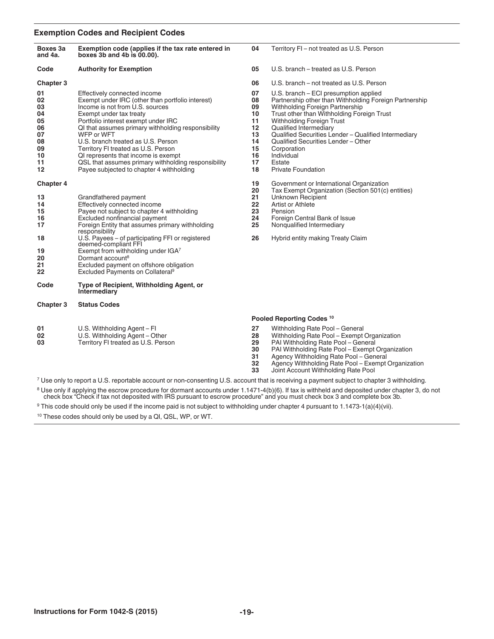#### **Exemption Codes and Recipient Codes**

| Boxes 3a<br>and 4a.                                                       | Exemption code (applies if the tax rate entered in<br>boxes $3b$ and $4b$ is $00.00$ ).                                                                                                                                                                                                                                                                                                                                                                                          | 04                                                                   | Territory FI - not treated as U.S. Person                                                                                                                                                                                                                                                                                                                                                                         |  |
|---------------------------------------------------------------------------|----------------------------------------------------------------------------------------------------------------------------------------------------------------------------------------------------------------------------------------------------------------------------------------------------------------------------------------------------------------------------------------------------------------------------------------------------------------------------------|----------------------------------------------------------------------|-------------------------------------------------------------------------------------------------------------------------------------------------------------------------------------------------------------------------------------------------------------------------------------------------------------------------------------------------------------------------------------------------------------------|--|
| Code                                                                      | <b>Authority for Exemption</b>                                                                                                                                                                                                                                                                                                                                                                                                                                                   | 05                                                                   | U.S. branch – treated as U.S. Person                                                                                                                                                                                                                                                                                                                                                                              |  |
| Chapter 3                                                                 |                                                                                                                                                                                                                                                                                                                                                                                                                                                                                  | 06                                                                   | U.S. branch – not treated as U.S. Person                                                                                                                                                                                                                                                                                                                                                                          |  |
| 01<br>02<br>03<br>04<br>05<br>06<br>07<br>08<br>09<br>10<br>11<br>$12 \,$ | Effectively connected income<br>Exempt under IRC (other than portfolio interest)<br>Income is not from U.S. sources<br>Exempt under tax treaty<br>Portfolio interest exempt under IRC<br>QI that assumes primary withholding responsibility<br>WFP or WFT<br>U.S. branch treated as U.S. Person<br>Territory FI treated as U.S. Person<br>QI represents that income is exempt<br>QSL that assumes primary withholding responsibility<br>Payee subjected to chapter 4 withholding | 07<br>08<br>09<br>10<br>11<br>12<br>13<br>14<br>15<br>16<br>17<br>18 | U.S. branch – ECI presumption applied<br>Partnership other than Withholding Foreign Partnership<br>Withholding Foreign Partnership<br>Trust other than Withholding Foreign Trust<br><b>Withholding Foreign Trust</b><br>Qualified Intermediary<br>Qualified Securities Lender - Qualified Intermediary<br>Qualified Securities Lender - Other<br>Corporation<br>Individual<br>Estate<br><b>Private Foundation</b> |  |
| Chapter 4                                                                 |                                                                                                                                                                                                                                                                                                                                                                                                                                                                                  | 19                                                                   | Government or International Organization                                                                                                                                                                                                                                                                                                                                                                          |  |
| 13<br>14<br>15<br>16<br>17<br>18<br>19<br>20<br>21                        | Grandfathered payment<br>Effectively connected income<br>Payee not subject to chapter 4 withholding<br>Excluded nonfinancial payment<br>Foreign Entity that assumes primary withholding<br>responsibility<br>U.S. Payees - of participating FFI or registered<br>deemed-compliant FFI<br>Exempt from withholding under IGA7<br>Dormant account <sup>8</sup><br>Excluded payment on offshore obligation                                                                           | 20<br>21<br>22<br>23<br>24<br>25<br>26                               | Tax Exempt Organization (Section 501(c) entities)<br>Unknown Recipient<br>Artist or Athlete<br>Pension<br>Foreign Central Bank of Issue<br>Nonqualified Intermediary<br>Hybrid entity making Treaty Claim                                                                                                                                                                                                         |  |
| 22<br>Code                                                                | Excluded Payments on Collateral <sup>9</sup><br>Type of Recipient, Withholding Agent, or                                                                                                                                                                                                                                                                                                                                                                                         |                                                                      |                                                                                                                                                                                                                                                                                                                                                                                                                   |  |
|                                                                           | Intermediary                                                                                                                                                                                                                                                                                                                                                                                                                                                                     |                                                                      |                                                                                                                                                                                                                                                                                                                                                                                                                   |  |
| Chapter 3                                                                 | <b>Status Codes</b>                                                                                                                                                                                                                                                                                                                                                                                                                                                              |                                                                      |                                                                                                                                                                                                                                                                                                                                                                                                                   |  |
|                                                                           |                                                                                                                                                                                                                                                                                                                                                                                                                                                                                  |                                                                      | Pooled Reporting Codes <sup>10</sup>                                                                                                                                                                                                                                                                                                                                                                              |  |
| 01<br>02<br>03                                                            | U.S. Withholding Agent - Fl<br>U.S. Withholding Agent - Other<br>Territory FI treated as U.S. Person                                                                                                                                                                                                                                                                                                                                                                             | 27<br>28<br>29<br>30<br>31<br>32                                     | Withholding Rate Pool - General<br>Withholding Rate Pool - Exempt Organization<br>PAI Withholding Rate Pool - General<br>PAI Withholding Rate Pool - Exempt Organization<br>Agency Withholding Rate Pool - General<br>Agency Withholding Rate Pool - Exempt Organization                                                                                                                                          |  |

Joint Account Withholding Rate Pool

Use only to report a U.S. reportable account or non-consenting U.S. account that is receiving a payment subject to chapter 3 withholding.

<sup>8</sup> Use only if applying the escrow procedure for dormant accounts under 1.1471-4(b)(6). If tax is withheld and deposited under chapter 3, do not check box "Check if tax not deposited with IRS pursuant to escrow procedure"

This code should only be used if the income paid is not subject to withholding under chapter 4 pursuant to 1.1473‐1(a)(4)(vii).

These codes should only be used by a QI, QSL, WP, or WT.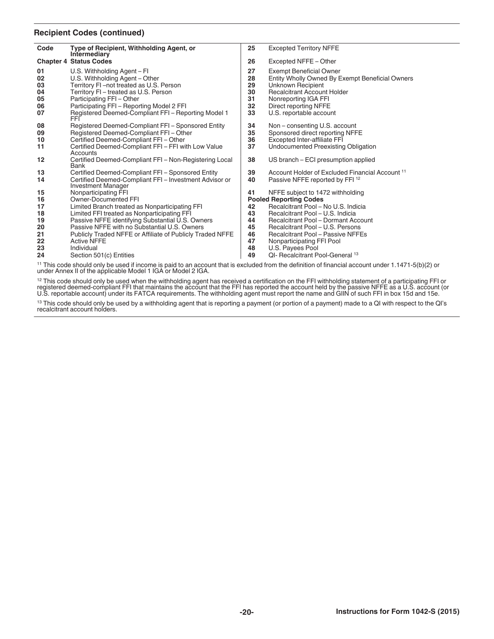#### **Recipient Codes (continued)**

| Type of Recipient, Withholding Agent, or<br><b>Excepted Territory NFFE</b><br>25<br>Intermediary<br><b>Chapter 4 Status Codes</b><br>26<br>Excepted NFFE - Other<br>U.S. Withholding Agent - Fl<br>27<br><b>Exempt Beneficial Owner</b><br>28<br>U.S. Withholding Agent - Other<br>Entity Wholly Owned By Exempt Beneficial Owners<br>29<br>Territory FI-not treated as U.S. Person<br>Unknown Recipient<br>30<br>Territory FI - treated as U.S. Person<br><b>Recalcitrant Account Holder</b><br>Participating FFI - Other<br>31<br>Nonreporting IGA FFI<br>Participating FFI - Reporting Model 2 FFI<br>32<br>Direct reporting NFFE<br>33<br>Registered Deemed-Compliant FFI - Reporting Model 1<br>U.S. reportable account<br>FFI<br>Non-consenting U.S. account<br>Registered Deemed-Compliant FFI - Sponsored Entity<br>34<br>Registered Deemed-Compliant FFI - Other<br>35<br>Sponsored direct reporting NFFE<br>36<br>Certified Deemed-Compliant FFI - Other<br>Excepted Inter-affiliate FFI<br>37<br>Certified Deemed-Compliant FFI - FFI with Low Value<br>Undocumented Preexisting Obligation<br>Accounts<br>Certified Deemed-Compliant FFI - Non-Registering Local<br>38<br>US branch - ECI presumption applied<br>Bank<br>Certified Deemed-Compliant FFI - Sponsored Entity<br>39<br>Account Holder of Excluded Financial Account 11<br>Certified Deemed-Compliant FFI - Investment Advisor or<br>40<br>Passive NFFE reported by FFI <sup>12</sup><br><b>Investment Manager</b><br>Nonparticipating FFI<br>41<br>NFFE subject to 1472 withholding<br>Owner-Documented FFI<br><b>Pooled Reporting Codes</b><br>Recalcitrant Pool - No U.S. Indicia<br>Limited Branch treated as Nonparticipating FFI<br>42<br>Limited FFI treated as Nonparticipating FFI<br>43<br>Recalcitrant Pool - U.S. Indicia<br>Passive NFFE identifying Substantial U.S. Owners<br>Recalcitrant Pool - Dormant Account<br>44<br>Passive NFFE with no Substantial U.S. Owners<br>45<br>Recalcitrant Pool - U.S. Persons<br>Publicly Traded NFFE or Affiliate of Publicly Traded NFFE<br>46<br><b>Recalcitrant Pool - Passive NFFEs</b> |                                        |                    |    |                           |
|-------------------------------------------------------------------------------------------------------------------------------------------------------------------------------------------------------------------------------------------------------------------------------------------------------------------------------------------------------------------------------------------------------------------------------------------------------------------------------------------------------------------------------------------------------------------------------------------------------------------------------------------------------------------------------------------------------------------------------------------------------------------------------------------------------------------------------------------------------------------------------------------------------------------------------------------------------------------------------------------------------------------------------------------------------------------------------------------------------------------------------------------------------------------------------------------------------------------------------------------------------------------------------------------------------------------------------------------------------------------------------------------------------------------------------------------------------------------------------------------------------------------------------------------------------------------------------------------------------------------------------------------------------------------------------------------------------------------------------------------------------------------------------------------------------------------------------------------------------------------------------------------------------------------------------------------------------------------------------------------------------------------------------------------------------------------------------------------------------------------------|----------------------------------------|--------------------|----|---------------------------|
|                                                                                                                                                                                                                                                                                                                                                                                                                                                                                                                                                                                                                                                                                                                                                                                                                                                                                                                                                                                                                                                                                                                                                                                                                                                                                                                                                                                                                                                                                                                                                                                                                                                                                                                                                                                                                                                                                                                                                                                                                                                                                                                         | Code                                   |                    |    |                           |
|                                                                                                                                                                                                                                                                                                                                                                                                                                                                                                                                                                                                                                                                                                                                                                                                                                                                                                                                                                                                                                                                                                                                                                                                                                                                                                                                                                                                                                                                                                                                                                                                                                                                                                                                                                                                                                                                                                                                                                                                                                                                                                                         |                                        |                    |    |                           |
|                                                                                                                                                                                                                                                                                                                                                                                                                                                                                                                                                                                                                                                                                                                                                                                                                                                                                                                                                                                                                                                                                                                                                                                                                                                                                                                                                                                                                                                                                                                                                                                                                                                                                                                                                                                                                                                                                                                                                                                                                                                                                                                         | 01<br>02<br>03<br>04<br>05<br>06<br>07 |                    |    |                           |
|                                                                                                                                                                                                                                                                                                                                                                                                                                                                                                                                                                                                                                                                                                                                                                                                                                                                                                                                                                                                                                                                                                                                                                                                                                                                                                                                                                                                                                                                                                                                                                                                                                                                                                                                                                                                                                                                                                                                                                                                                                                                                                                         | 08<br>09<br>10<br>11                   |                    |    |                           |
|                                                                                                                                                                                                                                                                                                                                                                                                                                                                                                                                                                                                                                                                                                                                                                                                                                                                                                                                                                                                                                                                                                                                                                                                                                                                                                                                                                                                                                                                                                                                                                                                                                                                                                                                                                                                                                                                                                                                                                                                                                                                                                                         | 12                                     |                    |    |                           |
|                                                                                                                                                                                                                                                                                                                                                                                                                                                                                                                                                                                                                                                                                                                                                                                                                                                                                                                                                                                                                                                                                                                                                                                                                                                                                                                                                                                                                                                                                                                                                                                                                                                                                                                                                                                                                                                                                                                                                                                                                                                                                                                         | 13<br>14                               |                    |    |                           |
|                                                                                                                                                                                                                                                                                                                                                                                                                                                                                                                                                                                                                                                                                                                                                                                                                                                                                                                                                                                                                                                                                                                                                                                                                                                                                                                                                                                                                                                                                                                                                                                                                                                                                                                                                                                                                                                                                                                                                                                                                                                                                                                         | 15<br>16                               |                    |    |                           |
| 48<br>Individual<br>U.S. Payees Pool                                                                                                                                                                                                                                                                                                                                                                                                                                                                                                                                                                                                                                                                                                                                                                                                                                                                                                                                                                                                                                                                                                                                                                                                                                                                                                                                                                                                                                                                                                                                                                                                                                                                                                                                                                                                                                                                                                                                                                                                                                                                                    | 17<br>18<br>19<br>20<br>21<br>22<br>23 | <b>Active NFFE</b> | 47 | Nonparticipating FFI Pool |
| 49<br>QI- Recalcitrant Pool-General <sup>13</sup><br>Section 501(c) Entities<br>$\frac{11}{11}$ This eads abould any be used if income is poid to an esseunt that is avaluded from the definition of financial esseunt under 1,171 $E(h)(0)$ or                                                                                                                                                                                                                                                                                                                                                                                                                                                                                                                                                                                                                                                                                                                                                                                                                                                                                                                                                                                                                                                                                                                                                                                                                                                                                                                                                                                                                                                                                                                                                                                                                                                                                                                                                                                                                                                                         | 24                                     |                    |    |                           |

<sup>11</sup> This code should only be used if income is paid to an account that is excluded from the definition of financial account under 1.1471‐5(b)(2) or<br>under Annex II of the applicable Model 1 IGA or Model 2 IGA.

<sup>12</sup> This code should only be used when the withholding agent has received a certification on the FFI withholding statement of a participating FFI or<br>registered deemed-compliant FFI that maintains the account that the FFI

<sup>13</sup> This code should only be used by a withholding agent that is reporting a payment (or portion of a payment) made to a QI with respect to the QI's<br>recalcitrant account holders.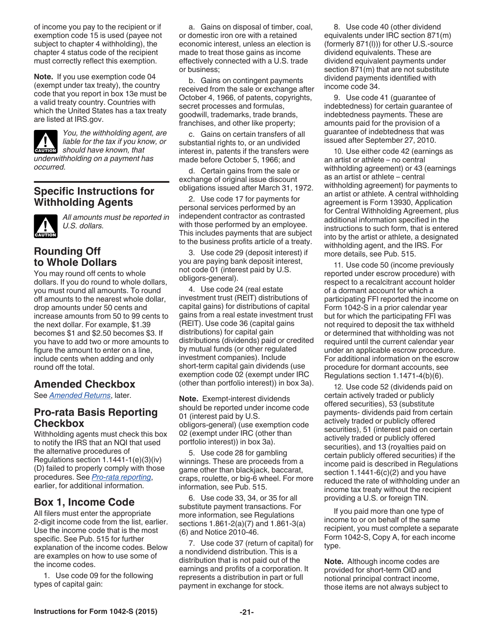of income you pay to the recipient or if exemption code 15 is used (payee not subject to chapter 4 withholding), the chapter 4 status code of the recipient must correctly reflect this exemption.

**Note.** If you use exemption code 04 (exempt under tax treaty), the country code that you report in box 13e must be a valid treaty country. Countries with which the United States has a tax treaty are listed at IRS.gov.

*You, the withholding agent, are liable for the tax if you know, or*  **k** liable for the tax if you known, that *underwithholding on a payment has occurred.*

# **Specific Instructions for Withholding Agents**



*All amounts must be reported in U.S. dollars.*

# **Rounding Off to Whole Dollars**

You may round off cents to whole dollars. If you do round to whole dollars, you must round all amounts. To round off amounts to the nearest whole dollar, drop amounts under 50 cents and increase amounts from 50 to 99 cents to the next dollar. For example, \$1.39 becomes \$1 and \$2.50 becomes \$3. If you have to add two or more amounts to figure the amount to enter on a line, include cents when adding and only round off the total.

# **Amended Checkbox**

See *[Amended Returns](#page-26-0)*, later.

# **Pro-rata Basis Reporting Checkbox**

Withholding agents must check this box to notify the IRS that an NQI that used the alternative procedures of Regulations section 1.1441-1(e)(3)(iv) (D) failed to properly comply with those procedures. See *[Pro-rata reporting](#page-11-0)*, earlier, for additional information.

# **Box 1, Income Code**

All filers must enter the appropriate 2-digit income code from the list, earlier. Use the income code that is the most specific. See Pub. 515 for further explanation of the income codes. Below are examples on how to use some of the income codes.

1. Use code 09 for the following types of capital gain:

a. Gains on disposal of timber, coal, or domestic iron ore with a retained economic interest, unless an election is made to treat those gains as income effectively connected with a U.S. trade or business;

b. Gains on contingent payments received from the sale or exchange after October 4, 1966, of patents, copyrights, secret processes and formulas, goodwill, trademarks, trade brands, franchises, and other like property;

c. Gains on certain transfers of all substantial rights to, or an undivided interest in, patents if the transfers were made before October 5, 1966; and

d. Certain gains from the sale or exchange of original issue discount obligations issued after March 31, 1972.

2. Use code 17 for payments for personal services performed by an independent contractor as contrasted with those performed by an employee. This includes payments that are subject to the business profits article of a treaty.

3. Use code 29 (deposit interest) if you are paying bank deposit interest, not code 01 (interest paid by U.S. obligors-general).

4. Use code 24 (real estate investment trust (REIT) distributions of capital gains) for distributions of capital gains from a real estate investment trust (REIT). Use code 36 (capital gains distributions) for capital gain distributions (dividends) paid or credited by mutual funds (or other regulated investment companies). Include short-term capital gain dividends (use exemption code 02 (exempt under IRC (other than portfolio interest)) in box 3a).

**Note.** Exempt-interest dividends should be reported under income code 01 (interest paid by U.S. obligors-general) (use exemption code 02 (exempt under IRC (other than portfolio interest)) in box 3a).

5. Use code 28 for gambling winnings. These are proceeds from a game other than blackjack, baccarat, craps, roulette, or big-6 wheel. For more information, see Pub. 515.

6. Use code 33, 34, or 35 for all substitute payment transactions. For more information, see Regulations sections 1.861-2(a)(7) and 1.861-3(a) (6) and Notice 2010-46.

7. Use code 37 (return of capital) for a nondividend distribution. This is a distribution that is not paid out of the earnings and profits of a corporation. It represents a distribution in part or full payment in exchange for stock.

8. Use code 40 (other dividend equivalents under IRC section 871(m) (formerly 871(l))) for other U.S.-source dividend equivalents. These are dividend equivalent payments under section 871(m) that are not substitute dividend payments identified with income code 34.

9. Use code 41 (guarantee of indebtedness) for certain guarantee of indebtedness payments. These are amounts paid for the provision of a guarantee of indebtedness that was issued after September 27, 2010.

10. Use either code 42 (earnings as an artist or athlete – no central withholding agreement) or 43 (earnings as an artist or athlete – central withholding agreement) for payments to an artist or athlete. A central withholding agreement is Form 13930, Application for Central Withholding Agreement, plus additional information specified in the instructions to such form, that is entered into by the artist or athlete, a designated withholding agent, and the IRS. For more details, see Pub. 515.

11. Use code 50 (income previously reported under escrow procedure) with respect to a recalcitrant account holder of a dormant account for which a participating FFI reported the income on Form 1042-S in a prior calendar year but for which the participating FFI was not required to deposit the tax withheld or determined that withholding was not required until the current calendar year under an applicable escrow procedure. For additional information on the escrow procedure for dormant accounts, see Regulations section 1.1471-4(b)(6).

12. Use code 52 (dividends paid on certain actively traded or publicly offered securities), 53 (substitute payments- dividends paid from certain actively traded or publicly offered securities), 51 (interest paid on certain actively traded or publicly offered securities), and 13 (royalties paid on certain publicly offered securities) if the income paid is described in Regulations section  $1.1441-6(c)(2)$  and you have reduced the rate of withholding under an income tax treaty without the recipient providing a U.S. or foreign TIN.

If you paid more than one type of income to or on behalf of the same recipient, you must complete a separate Form 1042-S, Copy A, for each income type.

**Note.** Although income codes are provided for short-term OID and notional principal contract income, those items are not always subject to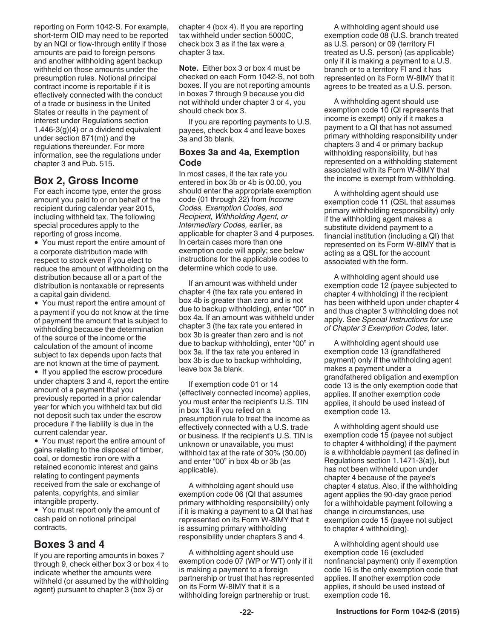reporting on Form 1042-S. For example, short-term OID may need to be reported by an NQI or flow-through entity if those amounts are paid to foreign persons and another withholding agent backup withheld on those amounts under the presumption rules. Notional principal contract income is reportable if it is effectively connected with the conduct of a trade or business in the United States or results in the payment of interest under Regulations section  $1.446-3(g)(4)$  or a dividend equivalent under section 871(m)) and the regulations thereunder. For more information, see the regulations under chapter 3 and Pub. 515.

# **Box 2, Gross Income**

For each income type, enter the gross amount you paid to or on behalf of the recipient during calendar year 2015, including withheld tax. The following special procedures apply to the reporting of gross income.

You must report the entire amount of a corporate distribution made with respect to stock even if you elect to reduce the amount of withholding on the distribution because all or a part of the distribution is nontaxable or represents a capital gain dividend.

You must report the entire amount of a payment if you do not know at the time of payment the amount that is subject to withholding because the determination of the source of the income or the calculation of the amount of income subject to tax depends upon facts that are not known at the time of payment.

• If you applied the escrow procedure under chapters 3 and 4, report the entire amount of a payment that you previously reported in a prior calendar year for which you withheld tax but did not deposit such tax under the escrow procedure if the liability is due in the current calendar year.

You must report the entire amount of gains relating to the disposal of timber, coal, or domestic iron ore with a retained economic interest and gains relating to contingent payments received from the sale or exchange of patents, copyrights, and similar intangible property.

You must report only the amount of cash paid on notional principal contracts.

# **Boxes 3 and 4**

If you are reporting amounts in boxes 7 through 9, check either box 3 or box 4 to indicate whether the amounts were withheld (or assumed by the withholding agent) pursuant to chapter 3 (box 3) or

chapter 4 (box 4). If you are reporting tax withheld under section 5000C, check box 3 as if the tax were a chapter 3 tax.

**Note.** Either box 3 or box 4 must be checked on each Form 1042-S, not both boxes. If you are not reporting amounts in boxes 7 through 9 because you did not withhold under chapter 3 or 4, you should check box 3.

If you are reporting payments to U.S. payees, check box 4 and leave boxes 3a and 3b blank.

## **Boxes 3a and 4a, Exemption Code**

In most cases, if the tax rate you entered in box 3b or 4b is 00.00, you should enter the appropriate exemption code (01 through 22) from *Income Codes, Exemption Codes, and Recipient, Withholding Agent, or Intermediary Codes,* earlier, as applicable for chapter 3 and 4 purposes. In certain cases more than one exemption code will apply; see below instructions for the applicable codes to determine which code to use.

If an amount was withheld under chapter 4 (the tax rate you entered in box 4b is greater than zero and is not due to backup withholding), enter "00" in box 4a. If an amount was withheld under chapter 3 (the tax rate you entered in box 3b is greater than zero and is not due to backup withholding), enter "00" in box 3a. If the tax rate you entered in box 3b is due to backup withholding, leave box 3a blank.

If exemption code 01 or 14 (effectively connected income) applies, you must enter the recipient's U.S. TIN in box 13a if you relied on a presumption rule to treat the income as effectively connected with a U.S. trade or business. If the recipient's U.S. TIN is unknown or unavailable, you must withhold tax at the rate of 30% (30.00) and enter "00" in box 4b or 3b (as applicable).

A withholding agent should use exemption code 06 (QI that assumes primary withholding responsibility) only if it is making a payment to a QI that has represented on its Form W-8IMY that it is assuming primary withholding responsibility under chapters 3 and 4.

A withholding agent should use exemption code 07 (WP or WT) only if it is making a payment to a foreign partnership or trust that has represented on its Form W-8IMY that it is a withholding foreign partnership or trust.

A withholding agent should use exemption code 08 (U.S. branch treated as U.S. person) or 09 (territory FI treated as U.S. person) (as applicable) only if it is making a payment to a U.S. branch or to a territory FI and it has represented on its Form W-8IMY that it agrees to be treated as a U.S. person.

A withholding agent should use exemption code 10 (QI represents that income is exempt) only if it makes a payment to a QI that has not assumed primary withholding responsibility under chapters 3 and 4 or primary backup withholding responsibility, but has represented on a withholding statement associated with its Form W-8IMY that the income is exempt from withholding.

A withholding agent should use exemption code 11 (QSL that assumes primary withholding responsibility) only if the withholding agent makes a substitute dividend payment to a financial institution (including a QI) that represented on its Form W-8IMY that is acting as a QSL for the account associated with the form.

A withholding agent should use exemption code 12 (payee subjected to chapter 4 withholding) if the recipient has been withheld upon under chapter 4 and thus chapter 3 withholding does not apply. See *Special Instructions for use of Chapter 3 Exemption Codes,* later.

A withholding agent should use exemption code 13 (grandfathered payment) only if the withholding agent makes a payment under a grandfathered obligation and exemption code 13 is the only exemption code that applies. If another exemption code applies, it should be used instead of exemption code 13.

A withholding agent should use exemption code 15 (payee not subject to chapter 4 withholding) if the payment is a withholdable payment (as defined in Regulations section 1.1471-3(a)), but has not been withheld upon under chapter 4 because of the payee's chapter 4 status. Also, if the withholding agent applies the 90-day grace period for a withholdable payment following a change in circumstances, use exemption code 15 (payee not subject to chapter 4 withholding).

A withholding agent should use exemption code 16 (excluded nonfinancial payment) only if exemption code 16 is the only exemption code that applies. If another exemption code applies, it should be used instead of exemption code 16.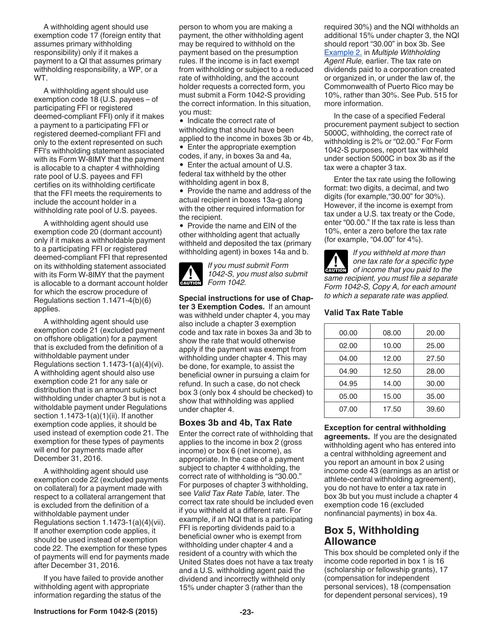A withholding agent should use exemption code 17 (foreign entity that assumes primary withholding responsibility) only if it makes a payment to a QI that assumes primary withholding responsibility, a WP, or a WT.

A withholding agent should use exemption code 18 (U.S. payees – of participating FFI or registered deemed-compliant FFI) only if it makes a payment to a participating FFI or registered deemed-compliant FFI and only to the extent represented on such FFI's withholding statement associated with its Form W-8IMY that the payment is allocable to a chapter 4 withholding rate pool of U.S. payees and FFI certifies on its withholding certificate that the FFI meets the requirements to include the account holder in a withholding rate pool of U.S. payees.

A withholding agent should use exemption code 20 (dormant account) only if it makes a withholdable payment to a participating FFI or registered deemed-compliant FFI that represented on its withholding statement associated with its Form W-8IMY that the payment is allocable to a dormant account holder for which the escrow procedure of Regulations section 1.1471-4(b)(6) applies.

A withholding agent should use exemption code 21 (excluded payment on offshore obligation) for a payment that is excluded from the definition of a withholdable payment under Regulations section 1.1473-1(a)(4)(vi). A withholding agent should also use exemption code 21 for any sale or distribution that is an amount subject withholding under chapter 3 but is not a witholdable payment under Regulations section 1.1473-1(a)(1)(ii). If another exemption code applies, it should be used instead of exemption code 21. The exemption for these types of payments will end for payments made after December 31, 2016.

A withholding agent should use exemption code 22 (excluded payments on collateral) for a payment made with respect to a collateral arrangement that is excluded from the definition of a withholdable payment under Regulations section 1.1473-1(a)(4)(vii). If another exemption code applies, it should be used instead of exemption code 22. The exemption for these types of payments will end for payments made after December 31, 2016.

If you have failed to provide another withholding agent with appropriate information regarding the status of the

person to whom you are making a payment, the other withholding agent may be required to withhold on the payment based on the presumption rules. If the income is in fact exempt from withholding or subject to a reduced rate of withholding, and the account holder requests a corrected form, you must submit a Form 1042-S providing the correct information. In this situation, you must:

• Indicate the correct rate of withholding that should have been applied to the income in boxes 3b or 4b, • Enter the appropriate exemption

codes, if any, in boxes 3a and 4a,

• Enter the actual amount of U.S. federal tax withheld by the other withholding agent in box 8,

• Provide the name and address of the actual recipient in boxes 13a-g along with the other required information for the recipient.

• Provide the name and EIN of the other withholding agent that actually withheld and deposited the tax (primary withholding agent) in boxes 14a and b.



*If you must submit Form 1042-S, you must also submit*  **Form 1042.**<br> **Form 1042.** 

**Special instructions for use of Chapter 3 Exemption Codes.** If an amount was withheld under chapter 4, you may also include a chapter 3 exemption code and tax rate in boxes 3a and 3b to show the rate that would otherwise apply if the payment was exempt from withholding under chapter 4. This may be done, for example, to assist the beneficial owner in pursuing a claim for refund. In such a case, do not check box 3 (only box 4 should be checked) to show that withholding was applied under chapter 4.

## **Boxes 3b and 4b, Tax Rate**

Enter the correct rate of withholding that applies to the income in box 2 (gross income) or box 6 (net income), as appropriate. In the case of a payment subject to chapter 4 withholding, the correct rate of withholding is "30.00." For purposes of chapter 3 withholding, see *Valid Tax Rate Table,* later. The correct tax rate should be included even if you withheld at a different rate. For example, if an NQI that is a participating FFI is reporting dividends paid to a beneficial owner who is exempt from withholding under chapter 4 and a resident of a country with which the United States does not have a tax treaty and a U.S. withholding agent paid the dividend and incorrectly withheld only 15% under chapter 3 (rather than the

required 30%) and the NQI withholds an additional 15% under chapter 3, the NQI should report "30.00" in box 3b. See [Example 2.](#page-15-0) in *Multiple Withholding Agent Rule,* earlier. The tax rate on dividends paid to a corporation created or organized in, or under the law of, the Commonwealth of Puerto Rico may be 10%, rather than 30%. See Pub. 515 for more information.

In the case of a specified Federal procurement payment subject to section 5000C, withholding, the correct rate of withholding is 2% or "02.00." For Form 1042-S purposes, report tax withheld under section 5000C in box 3b as if the tax were a chapter 3 tax.

Enter the tax rate using the following format: two digits, a decimal, and two digits (for example,"30.00" for 30%). However, if the income is exempt from tax under a U.S. tax treaty or the Code, enter "00.00." If the tax rate is less than 10%, enter a zero before the tax rate (for example, "04.00" for 4%).

*If you withheld at more than one tax rate for a specific type*  **CAUTION** one tax rate for a specific type<br>
of income that you paid to the *same recipient, you must file a separate Form 1042-S, Copy A, for each amount to which a separate rate was applied.*

#### **Valid Tax Rate Table**

| 00.00 | 08.00 | 20.00 |
|-------|-------|-------|
| 02.00 | 10.00 | 25.00 |
| 04.00 | 12.00 | 27.50 |
| 04.90 | 12.50 | 28.00 |
| 04.95 | 14.00 | 30.00 |
| 05.00 | 15.00 | 35.00 |
| 07.00 | 17.50 | 39.60 |
|       |       |       |

**Exception for central withholding agreements.** If you are the designated withholding agent who has entered into a central withholding agreement and you report an amount in box 2 using income code 43 (earnings as an artist or athlete-central withholding agreement), you do not have to enter a tax rate in box 3b but you must include a chapter 4 exemption code 16 (excluded nonfinancial payments) in box 4a.

# **Box 5, Withholding Allowance**

This box should be completed only if the income code reported in box 1 is 16 (scholarship or fellowship grants), 17 (compensation for independent personal services), 18 (compensation for dependent personal services), 19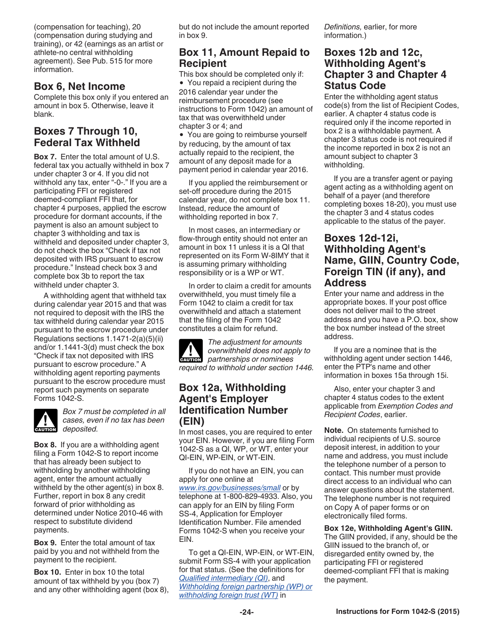(compensation for teaching), 20 (compensation during studying and training), or 42 (earnings as an artist or athlete-no central withholding agreement). See Pub. 515 for more information.

# **Box 6, Net Income**

Complete this box only if you entered an amount in box 5. Otherwise, leave it blank.

# **Boxes 7 Through 10, Federal Tax Withheld**

**Box 7.** Enter the total amount of U.S. federal tax you actually withheld in box 7 under chapter 3 or 4. If you did not withhold any tax, enter "-0-." If you are a participating FFI or registered deemed-compliant FFI that, for chapter 4 purposes, applied the escrow procedure for dormant accounts, if the payment is also an amount subject to chapter 3 withholding and tax is withheld and deposited under chapter 3, do not check the box "Check if tax not deposited with IRS pursuant to escrow procedure." Instead check box 3 and complete box 3b to report the tax withheld under chapter 3.

A withholding agent that withheld tax during calendar year 2015 and that was not required to deposit with the IRS the tax withheld during calendar year 2015 pursuant to the escrow procedure under Regulations sections 1.1471-2(a)(5)(ii) and/or 1.1441-3(d) must check the box "Check if tax not deposited with IRS pursuant to escrow procedure." A withholding agent reporting payments pursuant to the escrow procedure must report such payments on separate Forms 1042-S.



*Box 7 must be completed in all cases, even if no tax has been deposited.*

**Box 8.** If you are a withholding agent filing a Form 1042-S to report income that has already been subject to withholding by another withholding agent, enter the amount actually withheld by the other agent(s) in box 8. Further, report in box 8 any credit forward of prior withholding as determined under Notice 2010-46 with respect to substitute dividend payments.

**Box 9.** Enter the total amount of tax paid by you and not withheld from the payment to the recipient.

**Box 10.** Enter in box 10 the total amount of tax withheld by you (box 7) and any other withholding agent (box 8),

but do not include the amount reported in box 9.

## **Box 11, Amount Repaid to Recipient**

This box should be completed only if: You repaid a recipient during the

2016 calendar year under the reimbursement procedure (see instructions to Form 1042) an amount of tax that was overwithheld under chapter 3 or 4; and

• You are going to reimburse yourself by reducing, by the amount of tax actually repaid to the recipient, the amount of any deposit made for a payment period in calendar year 2016.

If you applied the reimbursement or set-off procedure during the 2015 calendar year, do not complete box 11. Instead, reduce the amount of withholding reported in box 7.

In most cases, an intermediary or flow-through entity should not enter an amount in box 11 unless it is a QI that represented on its Form W-8IMY that it is assuming primary withholding responsibility or is a WP or WT.

In order to claim a credit for amounts overwithheld, you must timely file a Form 1042 to claim a credit for tax overwithheld and attach a statement that the filing of the Form 1042 constitutes a claim for refund.

*The adjustment for amounts overwithheld does not apply to*  **desp** overwithheld does not app<br>
partnerships or nominees *required to withhold under section 1446.*

## **Box 12a, Withholding Agent's Employer Identification Number (EIN)**

In most cases, you are required to enter your EIN. However, if you are filing Form 1042-S as a QI, WP, or WT, enter your QI-EIN, WP-EIN, or WT-EIN.

If you do not have an EIN, you can apply for one online at *[www.irs.gov/businesses/small](http://www.irs.gov/businesses/small)* or by telephone at 1-800-829-4933. Also, you can apply for an EIN by filing Form SS-4, Application for Employer Identification Number. File amended Forms 1042-S when you receive your EIN.

To get a QI-EIN, WP-EIN, or WT-EIN, submit Form SS-4 with your application for that status. (See the definitions for *[Qualified intermediary \(QI\)](#page-4-0)*, and *[Withholding foreign partnership \(WP\) or](#page-5-0) [withholding foreign trust \(WT\)](#page-5-0)* in

*Definitions,* earlier, for more information.)

# **Boxes 12b and 12c, Withholding Agent's Chapter 3 and Chapter 4 Status Code**

Enter the withholding agent status code(s) from the list of Recipient Codes, earlier. A chapter 4 status code is required only if the income reported in box 2 is a withholdable payment. A chapter 3 status code is not required if the income reported in box 2 is not an amount subject to chapter 3 withholding.

If you are a transfer agent or paying agent acting as a withholding agent on behalf of a payer (and therefore completing boxes 18-20), you must use the chapter 3 and 4 status codes applicable to the status of the payer.

# **Boxes 12d-12i, Withholding Agent's Name, GIIN, Country Code, Foreign TIN (if any), and Address**

Enter your name and address in the appropriate boxes. If your post office does not deliver mail to the street address and you have a P.O. box, show the box number instead of the street address.

If you are a nominee that is the withholding agent under section 1446, enter the PTP's name and other information in boxes 15a through 15i.

Also, enter your chapter 3 and chapter 4 status codes to the extent applicable from *Exemption Codes and Recipient Codes*, earlier.

**Note.** On statements furnished to individual recipients of U.S. source deposit interest, in addition to your name and address, you must include the telephone number of a person to contact. This number must provide direct access to an individual who can answer questions about the statement. The telephone number is not required on Copy A of paper forms or on electronically filed forms.

**Box 12e, Withholding Agent's GIIN.** 

The GIIN provided, if any, should be the GIIN issued to the branch of, or disregarded entity owned by, the participating FFI or registered deemed-compliant FFI that is making the payment.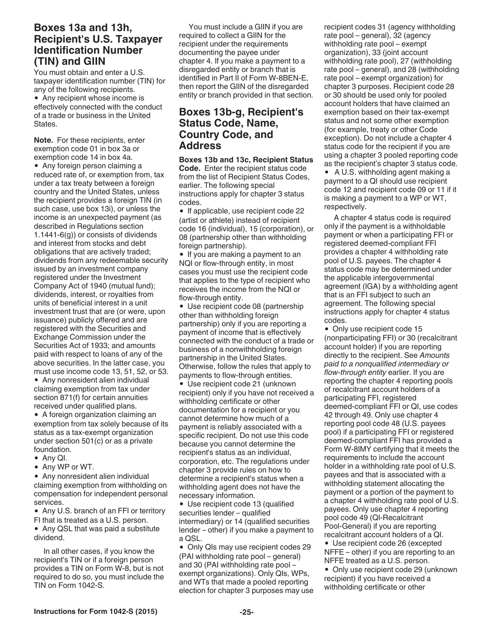# **Boxes 13a and 13h, Recipient's U.S. Taxpayer Identification Number (TIN) and GIIN**

You must obtain and enter a U.S. taxpayer identification number (TIN) for any of the following recipients.

Any recipient whose income is effectively connected with the conduct of a trade or business in the United States.

**Note.** For these recipients, enter exemption code 01 in box 3a or exemption code 14 in box 4a.

• Any foreign person claiming a reduced rate of, or exemption from, tax under a tax treaty between a foreign country and the United States, unless the recipient provides a foreign TIN (in such case, use box 13i), or unless the income is an unexpected payment (as described in Regulations section 1.1441-6(g)) or consists of dividends and interest from stocks and debt obligations that are actively traded; dividends from any redeemable security issued by an investment company registered under the Investment Company Act of 1940 (mutual fund); dividends, interest, or royalties from units of beneficial interest in a unit investment trust that are (or were, upon issuance) publicly offered and are registered with the Securities and Exchange Commission under the Securities Act of 1933; and amounts paid with respect to loans of any of the above securities. In the latter case, you must use income code 13, 51, 52, or 53.

Any nonresident alien individual claiming exemption from tax under section 871(f) for certain annuities received under qualified plans.

A foreign organization claiming an exemption from tax solely because of its status as a tax-exempt organization under section 501(c) or as a private foundation.

- Any QI.
- Any WP or WT.

• Any nonresident alien individual claiming exemption from withholding on compensation for independent personal services.

• Any U.S. branch of an FFI or territory FI that is treated as a U.S. person.

• Any QSL that was paid a substitute dividend.

In all other cases, if you know the recipient's TIN or if a foreign person provides a TIN on Form W-8, but is not required to do so, you must include the TIN on Form 1042-S.

You must include a GIIN if you are required to collect a GIIN for the recipient under the requirements documenting the payee under chapter 4. If you make a payment to a disregarded entity or branch that is identified in Part II of Form W-8BEN-E, then report the GIIN of the disregarded entity or branch provided in that section.

# **Boxes 13b-g, Recipient's Status Code, Name, Country Code, and Address**

**Boxes 13b and 13c, Recipient Status Code.** Enter the recipient status code from the list of Recipient Status Codes, earlier. The following special instructions apply for chapter 3 status codes.

• If applicable, use recipient code 22 (artist or athlete) instead of recipient code 16 (individual), 15 (corporation), or 08 (partnership other than withholding foreign partnership).

• If you are making a payment to an NQI or flow-through entity, in most cases you must use the recipient code that applies to the type of recipient who receives the income from the NQI or flow-through entity.

Use recipient code 08 (partnership other than withholding foreign partnership) only if you are reporting a payment of income that is effectively connected with the conduct of a trade or business of a nonwithholding foreign partnership in the United States. Otherwise, follow the rules that apply to payments to flow-through entities.

Use recipient code 21 (unknown recipient) only if you have not received a withholding certificate or other documentation for a recipient or you cannot determine how much of a payment is reliably associated with a specific recipient. Do not use this code because you cannot determine the recipient's status as an individual, corporation, etc. The regulations under chapter 3 provide rules on how to determine a recipient's status when a withholding agent does not have the necessary information.

Use recipient code 13 (qualified securities lender – qualified intermediary) or 14 (qualified securities lender – other) if you make a payment to a QSL.

• Only QIs may use recipient codes 29 (PAI withholding rate pool – general) and 30 (PAI withholding rate pool – exempt organizations). Only QIs, WPs, and WTs that made a pooled reporting election for chapter 3 purposes may use recipient codes 31 (agency withholding rate pool – general), 32 (agency withholding rate pool – exempt organization), 33 (joint account withholding rate pool), 27 (withholding rate pool – general), and 28 (withholding rate pool – exempt organization) for chapter 3 purposes. Recipient code 28 or 30 should be used only for pooled account holders that have claimed an exemption based on their tax-exempt status and not some other exemption (for example, treaty or other Code exception). Do not include a chapter 4 status code for the recipient if you are using a chapter 3 pooled reporting code as the recipient's chapter 3 status code. A U.S. withholding agent making a payment to a QI should use recipient code 12 and recipient code 09 or 11 if it

A chapter 4 status code is required only if the payment is a withholdable payment or when a participating FFI or registered deemed-compliant FFI provides a chapter 4 withholding rate pool of U.S. payees. The chapter 4 status code may be determined under the applicable intergovernmental agreement (IGA) by a withholding agent that is an FFI subject to such an agreement. The following special instructions apply for chapter 4 status codes.

is making a payment to a WP or WT,

respectively.

• Only use recipient code 15 (nonparticipating FFI) or 30 (recalcitrant account holder) if you are reporting directly to the recipient. See *Amounts paid to a nonqualified intermediary or flow-through entity* earlier. If you are reporting the chapter 4 reporting pools of recalcitrant account holders of a participating FFI, registered deemed-compliant FFI or QI, use codes 42 through 49. Only use chapter 4 reporting pool code 48 (U.S. payees pool) if a participating FFI or registered deemed-compliant FFI has provided a Form W-8IMY certifying that it meets the requirements to include the account holder in a withholding rate pool of U.S. payees and that is associated with a withholding statement allocating the payment or a portion of the payment to a chapter 4 withholding rate pool of U.S. payees. Only use chapter 4 reporting pool code 49 (QI-Recalcitrant Pool-General) if you are reporting recalcitrant account holders of a QI.

Use recipient code 26 (excepted NFFE – other) if you are reporting to an NFFE treated as a U.S. person.

• Only use recipient code 29 (unknown recipient) if you have received a withholding certificate or other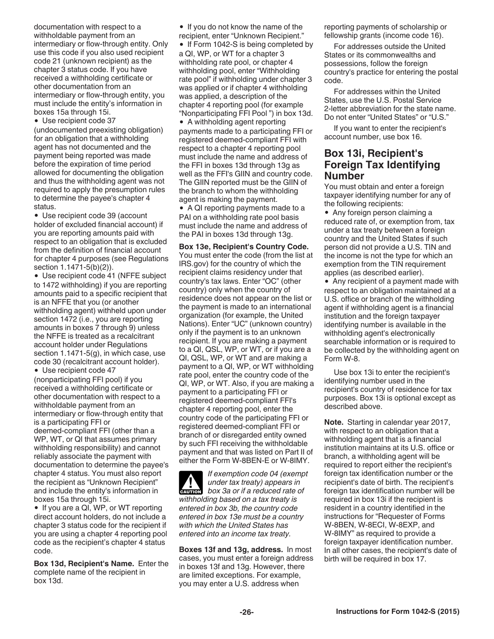documentation with respect to a withholdable payment from an intermediary or flow-through entity. Only use this code if you also used recipient code 21 (unknown recipient) as the chapter 3 status code. If you have received a withholding certificate or other documentation from an intermediary or flow-through entity, you must include the entity's information in boxes 15a through 15i.

Use recipient code 37

(undocumented preexisting obligation) for an obligation that a withholding agent has not documented and the payment being reported was made before the expiration of time period allowed for documenting the obligation and thus the withholding agent was not required to apply the presumption rules to determine the payee's chapter 4 status.

Use recipient code 39 (account holder of excluded financial account) if you are reporting amounts paid with respect to an obligation that is excluded from the definition of financial account for chapter 4 purposes (see Regulations section 1.1471-5(b)(2)).

Use recipient code 41 (NFFE subject to 1472 withholding) if you are reporting amounts paid to a specific recipient that is an NFFE that you (or another withholding agent) withheld upon under section 1472 (i.e., you are reporting amounts in boxes 7 through 9) unless the NFFE is treated as a recalcitrant account holder under Regulations section 1.1471-5(g), in which case, use code 30 (recalcitrant account holder).

Use recipient code 47 (nonparticipating FFI pool) if you received a withholding certificate or other documentation with respect to a withholdable payment from an intermediary or flow-through entity that is a participating FFI or deemed-compliant FFI (other than a WP, WT, or QI that assumes primary withholding responsibility) and cannot reliably associate the payment with

documentation to determine the payee's chapter 4 status. You must also report the recipient as "Unknown Recipient" and include the entity's information in boxes 15a through 15i.

• If you are a QI, WP, or WT reporting direct account holders, do not include a chapter 3 status code for the recipient if you are using a chapter 4 reporting pool code as the recipient's chapter 4 status code.

**Box 13d, Recipient's Name.** Enter the complete name of the recipient in box 13d.

• If you do not know the name of the recipient, enter "Unknown Recipient."

• If Form 1042-S is being completed by a QI, WP, or WT for a chapter 3 withholding rate pool, or chapter 4 withholding pool, enter "Withholding rate pool" if withholding under chapter 3 was applied or if chapter 4 withholding was applied, a description of the chapter 4 reporting pool (for example "Nonparticipating FFI Pool ") in box 13d.

• A withholding agent reporting payments made to a participating FFI or registered deemed-compliant FFI with respect to a chapter 4 reporting pool must include the name and address of the FFI in boxes 13d through 13g as well as the FFI's GIIN and country code. The GIIN reported must be the GIIN of the branch to whom the withholding agent is making the payment.

• A QI reporting payments made to a PAI on a withholding rate pool basis must include the name and address of the PAI in boxes 13d through 13g.

#### **Box 13e, Recipient's Country Code.**

You must enter the code (from the list at IRS.gov) for the country of which the recipient claims residency under that country's tax laws. Enter "OC" (other country) only when the country of residence does not appear on the list or the payment is made to an international organization (for example, the United Nations). Enter "UC" (unknown country) only if the payment is to an unknown recipient. If you are making a payment to a QI, QSL, WP, or WT, or if you are a QI, QSL, WP, or WT and are making a payment to a QI, WP, or WT withholding rate pool, enter the country code of the QI, WP, or WT. Also, if you are making a payment to a participating FFI or registered deemed-compliant FFI's chapter 4 reporting pool, enter the country code of the participating FFI or registered deemed-compliant FFI or branch of or disregarded entity owned by such FFI receiving the withholdable payment and that was listed on Part II of either the Form W-8BEN-E or W-8IMY.

*If exemption code 04 (exempt under tax treaty) appears in*  **c** *box 3a or if a reduced rate of withholding based on a tax treaty is entered in box 3b, the country code entered in box 13e must be a country with which the United States has entered into an income tax treaty.*

**Boxes 13f and 13g, address.** In most cases, you must enter a foreign address in boxes 13f and 13g. However, there are limited exceptions. For example, you may enter a U.S. address when

reporting payments of scholarship or fellowship grants (income code 16).

For addresses outside the United States or its commonwealths and possessions, follow the foreign country's practice for entering the postal code.

For addresses within the United States, use the U.S. Postal Service 2-letter abbreviation for the state name. Do not enter "United States" or "U.S."

If you want to enter the recipient's account number, use box 16.

## **Box 13i, Recipient's Foreign Tax Identifying Number**

You must obtain and enter a foreign taxpayer identifying number for any of the following recipients:

• Any foreign person claiming a reduced rate of, or exemption from, tax under a tax treaty between a foreign country and the United States if such person did not provide a U.S. TIN and the income is not the type for which an exemption from the TIN requirement applies (as described earlier).

• Any recipient of a payment made with respect to an obligation maintained at a U.S. office or branch of the withholding agent if withholding agent is a financial institution and the foreign taxpayer identifying number is available in the withholding agent's electronically searchable information or is required to be collected by the withholding agent on Form W-8.

Use box 13i to enter the recipient's identifying number used in the recipient's country of residence for tax purposes. Box 13i is optional except as described above.

**Note.** Starting in calendar year 2017, with respect to an obligation that a withholding agent that is a financial institution maintains at its U.S. office or branch, a withholding agent will be required to report either the recipient's foreign tax identification number or the recipient's date of birth. The recipient's foreign tax identification number will be required in box 13i if the recipient is resident in a country identified in the instructions for "Requester of Forms W-8BEN, W-8ECI, W-8EXP, and W-8IMY" as required to provide a foreign taxpayer identification number. In all other cases, the recipient's date of birth will be required in box 17.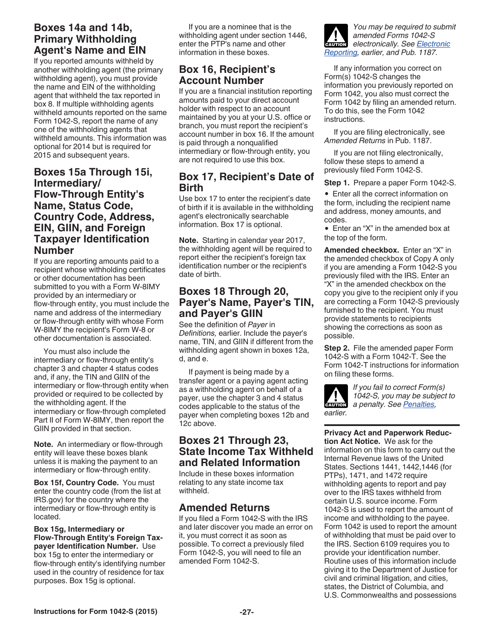# <span id="page-26-0"></span>**Boxes 14a and 14b, Primary Withholding Agent's Name and EIN**

If you reported amounts withheld by another withholding agent (the primary withholding agent), you must provide the name and EIN of the withholding agent that withheld the tax reported in box 8. If multiple withholding agents withheld amounts reported on the same Form 1042-S, report the name of any one of the withholding agents that withheld amounts. This information was optional for 2014 but is required for 2015 and subsequent years.

## **Boxes 15a Through 15i, Intermediary/ Flow-Through Entity's Name, Status Code, Country Code, Address, EIN, GIIN, and Foreign Taxpayer Identification Number**

If you are reporting amounts paid to a recipient whose withholding certificates or other documentation has been submitted to you with a Form W-8IMY provided by an intermediary or flow-through entity, you must include the name and address of the intermediary or flow-through entity with whose Form W-8IMY the recipient's Form W-8 or other documentation is associated.

You must also include the intermediary or flow-through entity's chapter 3 and chapter 4 status codes and, if any, the TIN and GIIN of the intermediary or flow-through entity when provided or required to be collected by the withholding agent. If the intermediary or flow-through completed Part II of Form W-8IMY, then report the GIIN provided in that section.

**Note.** An intermediary or flow-through entity will leave these boxes blank unless it is making the payment to an intermediary or flow-through entity.

**Box 15f, Country Code.** You must enter the country code (from the list at IRS.gov) for the country where the intermediary or flow-through entity is located.

**Box 15g, Intermediary or Flow-Through Entity's Foreign Taxpayer Identification Number.** Use box 15g to enter the intermediary or flow-through entity's identifying number used in the country of residence for tax purposes. Box 15g is optional.

If you are a nominee that is the withholding agent under section 1446, enter the PTP's name and other information in these boxes.

# **Box 16, Recipient's Account Number**

If you are a financial institution reporting amounts paid to your direct account holder with respect to an account maintained by you at your U.S. office or branch, you must report the recipient's account number in box 16. If the amount is paid through a nonqualified intermediary or flow-through entity, you are not required to use this box.

# **Box 17, Recipient's Date of Birth**

Use box 17 to enter the recipient's date of birth if it is available in the withholding agent's electronically searchable information. Box 17 is optional.

**Note.** Starting in calendar year 2017, the withholding agent will be required to report either the recipient's foreign tax identification number or the recipient's date of birth.

# **Boxes 18 Through 20, Payer's Name, Payer's TIN, and Payer's GIIN**

See the definition of *Payer* in *Definitions,* earlier. Include the payer's name, TIN, and GIIN if different from the withholding agent shown in boxes 12a, d, and e.

If payment is being made by a transfer agent or a paying agent acting as a withholding agent on behalf of a payer, use the chapter 3 and 4 status codes applicable to the status of the payer when completing boxes 12b and 12c above.

# **Boxes 21 Through 23, State Income Tax Withheld and Related Information**

Include in these boxes information relating to any state income tax withheld.

# **Amended Returns**

If you filed a Form 1042-S with the IRS and later discover you made an error on it, you must correct it as soon as possible. To correct a previously filed Form 1042-S, you will need to file an amended Form 1042-S.



If any information you correct on Form(s) 1042-S changes the information you previously reported on Form 1042, you also must correct the Form 1042 by filing an amended return. To do this, see the Form 1042 instructions.

If you are filing electronically, see *Amended Returns* in Pub. 1187.

If you are not filing electronically, follow these steps to amend a previously filed Form 1042-S.

**Step 1.** Prepare a paper Form 1042-S.

Enter all the correct information on the form, including the recipient name and address, money amounts, and codes.

• Enter an "X" in the amended box at the top of the form.

**Amended checkbox.** Enter an "X" in the amended checkbox of Copy A only if you are amending a Form 1042-S you previously filed with the IRS. Enter an "X" in the amended checkbox on the copy you give to the recipient only if you are correcting a Form 1042-S previously furnished to the recipient. You must provide statements to recipients showing the corrections as soon as possible.

**Step 2.** File the amended paper Form 1042-S with a Form 1042-T. See the Form 1042-T instructions for information on filing these forms.



*If you fail to correct Form(s) 1042-S, you may be subject to a penalty. See [Penalties,](#page-16-0)* 

**Privacy Act and Paperwork Reduction Act Notice.** We ask for the information on this form to carry out the Internal Revenue laws of the United States. Sections 1441, 1442,1446 (for PTPs), 1471, and 1472 require withholding agents to report and pay over to the IRS taxes withheld from certain U.S. source income. Form 1042-S is used to report the amount of income and withholding to the payee. Form 1042 is used to report the amount of withholding that must be paid over to the IRS. Section 6109 requires you to provide your identification number. Routine uses of this information include giving it to the Department of Justice for civil and criminal litigation, and cities, states, the District of Columbia, and U.S. Commonwealths and possessions